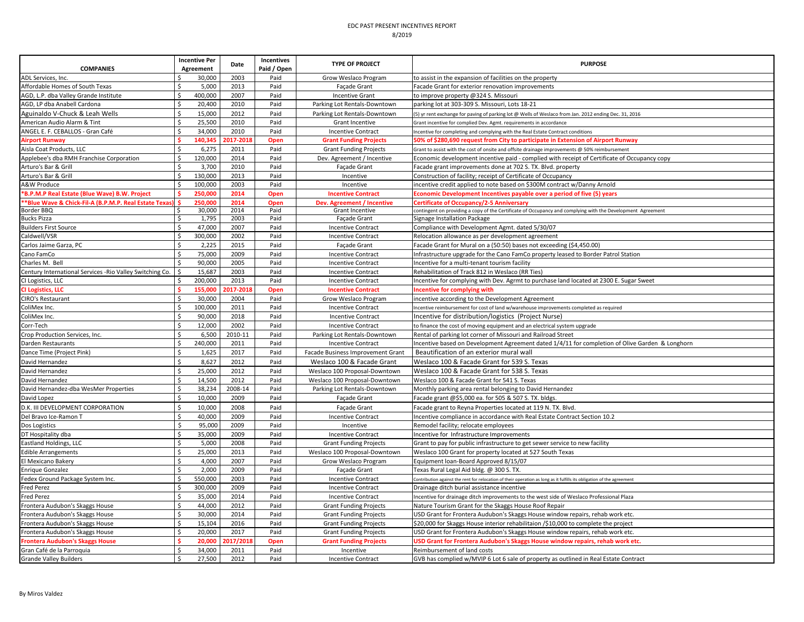| <b>COMPANIES</b>                                          |        | <b>Incentive Per</b><br>Agreement | Date      | Incentives<br>Paid / Open | <b>TYPE OF PROJECT</b>            | <b>PURPOSE</b>                                                                                                         |
|-----------------------------------------------------------|--------|-----------------------------------|-----------|---------------------------|-----------------------------------|------------------------------------------------------------------------------------------------------------------------|
| ADL Services, Inc.                                        |        | 30,000                            | 2003      | Paid                      | Grow Weslaco Program              | to assist in the expansion of facilities on the property                                                               |
| Affordable Homes of South Texas                           | Ś      | 5,000                             | 2013      | Paid                      | Facade Grant                      | Facade Grant for exterior renovation improvements                                                                      |
| AGD, L.P. dba Valley Grande Institute                     | Ś      | 400,000                           | 2007      | Paid                      | <b>Incentive Grant</b>            | to improve property @324 S. Missouri                                                                                   |
| AGD, LP dba Anabell Cardona                               | Ś      | 20,400                            | 2010      | Paid                      | Parking Lot Rentals-Downtown      | parking lot at 303-309 S. Missouri, Lots 18-21                                                                         |
| Aguinaldo V-Chuck & Leah Wells                            | Ś      | 15,000                            | 2012      | Paid                      | Parking Lot Rentals-Downtown      | (5) yr rent exchange for paving of parking lot @ Wells of Weslaco from Jan. 2012 ending Dec. 31, 2016                  |
| American Audio Alarm & Tint                               |        | 25,500                            | 2010      | Paid                      | Grant Incentive                   | Grant incentive for complied Dev. Agmt. requirements in accordance                                                     |
| ANGEL E. F. CEBALLOS - Gran Café                          | ς      | 34,000                            | 2010      | Paid                      | <b>Incentive Contract</b>         | Incentive for completing and complying with the Real Estate Contract conditions                                        |
| <b>Airport Runway</b>                                     |        | 140,345                           | 2017-2018 | Open                      | <b>Grant Funding Projects</b>     | 50% of \$280,690 request from City to participate in Extension of Airport Runway                                       |
| Aisla Coat Products, LLC                                  |        | 6,275                             | 2011      | Paid                      | <b>Grant Funding Projects</b>     | Grant to assist with the cost of onsite and offsite drainage improvements @ 50% reimbursement                          |
| Applebee's dba RMH Franchise Corporation                  | Ś      | 120,000                           | 2014      | Paid                      | Dev. Agreement / Incentive        | Economic development incentive paid - complied with receipt of Certificate of Occupancy copy                           |
| Arturo's Bar & Grill                                      | Ś      | 3,700                             | 2010      | Paid                      | Façade Grant                      | Facade grant improvements done at 702 S. TX. Blvd. property                                                            |
| Arturo's Bar & Grill                                      | ς      | 130,000                           | 2013      | Paid                      | Incentive                         | Construction of facility; receipt of Certificate of Occupancy                                                          |
| A&W Produce                                               |        | 100,000                           | 2003      | Paid                      | Incentive                         | incentive credit applied to note based on \$300M contract w/Danny Arnold                                               |
| B.P.M.P Real Estate (Blue Wave) B.W. Project <sup>*</sup> |        | 250,000                           | 2014      | Open                      | <b>Incentive Contract</b>         | Economic Development Incentives payable over a period of five (5) years                                                |
| **Blue Wave & Chick-Fil-A (B.P.M.P. Real Estate Texas     |        | 250.000                           | 2014      | Open                      | Dev. Agreement / Incentive        | <b>Certificate of Occupancy/2-5 Anniversary</b>                                                                        |
| Border BBQ                                                |        | 30,000                            | 2014      | Paid                      | Grant Incentive                   | contingent on providing a copy of the Certificate of Occupancy and complying with the Development Agreement            |
| <b>Bucks Pizza</b>                                        | S      | 1,795                             | 2003      | Paid                      | Façade Grant                      | Signage Installation Package                                                                                           |
| <b>Builders First Source</b>                              | ς      | 47,000                            | 2007      | Paid                      | <b>Incentive Contract</b>         | Compliance with Development Agmt. dated 5/30/07                                                                        |
| Caldwell/VSR                                              | Ś      | 300,000                           | 2002      | Paid                      | <b>Incentive Contract</b>         | Relocation allowance as per development agreement                                                                      |
| Carlos Jaime Garza, PC                                    |        | 2,225                             | 2015      | Paid                      | Façade Grant                      | Facade Grant for Mural on a (50:50) bases not exceeding (\$4,450.00)                                                   |
| Cano FamCo                                                | Ś      | 75,000                            | 2009      | Paid                      | <b>Incentive Contract</b>         | Infrastructure upgrade for the Cano FamCo property leased to Border Patrol Station                                     |
| Charles M. Bell                                           | Ś      | 90,000                            | 2005      | Paid                      | <b>Incentive Contract</b>         | Incentive for a multi-tenant tourism facility                                                                          |
| Century International Services - Rio Valley Switching Co. |        | 15,687                            | 2003      | Paid                      | <b>Incentive Contract</b>         | Rehabilitation of Track 812 in Weslaco (RR Ties)                                                                       |
| CI Logistics, LLC                                         | Ś.     | 200,000                           | 2013      | Paid                      | <b>Incentive Contract</b>         | Incentive for complying with Dev. Agrmt to purchase land located at 2300 E. Sugar Sweet                                |
| <b>CI Logistics, LLC</b>                                  |        | 155,000                           | 2017-2018 | Open                      | <b>Incentive Contract</b>         | <b>Incentive for complying with</b>                                                                                    |
| CIRO's Restaurant                                         | ς      | 30,000                            | 2004      | Paid                      | Grow Weslaco Program              | incentive according to the Development Agreement                                                                       |
| ColiMex Inc.                                              |        | 100,000                           | 2011      | Paid                      | <b>Incentive Contract</b>         | Incentive reimbursement for cost of land w/warehouse improvements completed as required                                |
| ColiMex Inc.                                              |        | 90,000                            | 2018      | Paid                      | <b>Incentive Contract</b>         | Incentive for distribution/logistics (Project Nurse)                                                                   |
| Corr-Tech                                                 | ς      | 12,000                            | 2002      | Paid                      | <b>Incentive Contract</b>         | to finance the cost of moving equipment and an electrical system upgrade                                               |
| Crop Production Services, Inc.                            | Ś      | 6,500                             | 2010-11   | Paid                      | Parking Lot Rentals-Downtown      | Rental of parking lot corner of Missouri and Railroad Street                                                           |
| Darden Restaurants                                        | Ś      | 240,000                           | 2011      | Paid                      | <b>Incentive Contract</b>         | Incentive based on Development Agreement dated 1/4/11 for completion of Olive Garden & Longhorn                        |
| Dance Time (Project Pink)                                 | Ś      | 1,625                             | 2017      | Paid                      | Facade Business Improvement Grant | Beautification of an exterior mural wall                                                                               |
| David Hernandez                                           | \$     | 8,627                             | 2012      | Paid                      | Weslaco 100 & Facade Grant        | Weslaco 100 & Facade Grant for 539 S. Texas                                                                            |
| David Hernandez                                           | Ś      | 25,000                            | 2012      | Paid                      | Weslaco 100 Proposal-Downtown     | Weslaco 100 & Facade Grant for 538 S. Texas                                                                            |
| David Hernandez                                           | Ś      | 14,500                            | 2012      | Paid                      | Weslaco 100 Proposal-Downtown     | Weslaco 100 & Facade Grant for 541 S. Texas                                                                            |
| David Hernandez-dba WesMer Properties                     | Ś      | 38,234                            | 2008-14   | Paid                      | Parking Lot Rentals-Downtown      | Monthly parking area rental belonging to David Hernandez                                                               |
| David Lopez                                               | Ś      | 10,000                            | 2009      | Paid                      | Façade Grant                      | Facade grant @\$5,000 ea. for 505 & 507 S. TX. bldgs                                                                   |
| D.K. III DEVELOPMENT CORPORATION                          | Ś      | 10,000                            | 2008      | Paid                      |                                   |                                                                                                                        |
|                                                           |        |                                   | 2009      | Paid                      | Façade Grant                      | Facade grant to Reyna Properties located at 119 N. TX. Blvd.                                                           |
| Del Bravo Ice-Ramon T                                     | Ś      | 40,000<br>95,000                  | 2009      | Paid                      | <b>Incentive Contract</b>         | Incentive compliance in accordance with Real Estate Contract Section 10.2                                              |
| Dos Logistics                                             |        |                                   |           |                           | Incentive                         | Remodel facility; relocate employees                                                                                   |
| DT Hospitality dba                                        | Ś      | 35,000                            | 2009      | Paid                      | <b>Incentive Contract</b>         | Incentive for Infrastructure Improvements                                                                              |
| Eastland Holdings, LLC                                    | Ś<br>Ś | 5,000                             | 2008      | Paid                      | <b>Grant Funding Projects</b>     | Grant to pay for public infrastructure to get sewer service to new facility                                            |
| <b>Edible Arrangements</b>                                |        | 25,000                            | 2013      | Paid                      | Weslaco 100 Proposal-Downtown     | Weslaco 100 Grant for property located at 527 South Texas                                                              |
| El Mexicano Bakery                                        | Ś      | 4,000                             | 2007      | Paid                      | Grow Weslaco Program              | Equipment loan-Board Approved 8/15/07                                                                                  |
| Enrique Gonzalez                                          | Ś      | 2,000                             | 2009      | Paid                      | Façade Grant                      | Texas Rural Legal Aid bldg. @ 300 S. TX.                                                                               |
| Fedex Ground Package System Inc.                          | Ś      | 550,000                           | 2003      | Paid                      | <b>Incentive Contract</b>         | Contribution against the rent for relocation of their operation as long as it fulfills its obligation of the agreement |
| Fred Perez                                                | Ś<br>Ś | 300,000                           | 2009      | Paid                      | <b>Incentive Contract</b>         | Drainage ditch burial assistance incentive                                                                             |
| Fred Perez                                                |        | 35,000                            | 2014      | Paid                      | <b>Incentive Contract</b>         | Incentive for drainage ditch improvements to the west side of Weslaco Professional Plaza                               |
| Frontera Audubon's Skaggs House                           | \$     | 44,000                            | 2012      | Paid                      | <b>Grant Funding Projects</b>     | Nature Tourism Grant for the Skaggs House Roof Repair                                                                  |
| Frontera Audubon's Skaggs House                           | Ś      | 30,000                            | 2014      | Paid                      | <b>Grant Funding Projects</b>     | USD Grant for Frontera Audubon's Skaggs House window repairs, rehab work etc.                                          |
| Frontera Audubon's Skaggs House                           | Ś.     | 15,104                            | 2016      | Paid                      | <b>Grant Funding Projects</b>     | \$20,000 for Skaggs House interior rehabilitaion /\$10,000 to complete the project                                     |
| Frontera Audubon's Skaggs House                           | Ś      | 20,000                            | 2017      | Paid                      | <b>Grant Funding Projects</b>     | USD Grant for Frontera Audubon's Skaggs House window repairs, rehab work etc.                                          |
| Frontera Audubon's Skaggs House                           |        | 20.000                            | 017/201   | Open                      | <b>Grant Funding Projects</b>     | USD Grant for Frontera Audubon's Skaggs House window repairs, rehab work etc.                                          |
| Gran Café de la Parroquia                                 | Ś      | 34,000                            | 2011      | Paid                      | Incentive                         | Reimbursement of land costs                                                                                            |
| <b>Grande Valley Builders</b>                             | \$     | 27,500                            | 2012      | Paid                      | <b>Incentive Contract</b>         | GVB has complied w/MVIP 6 Lot 6 sale of property as outlined in Real Estate Contract                                   |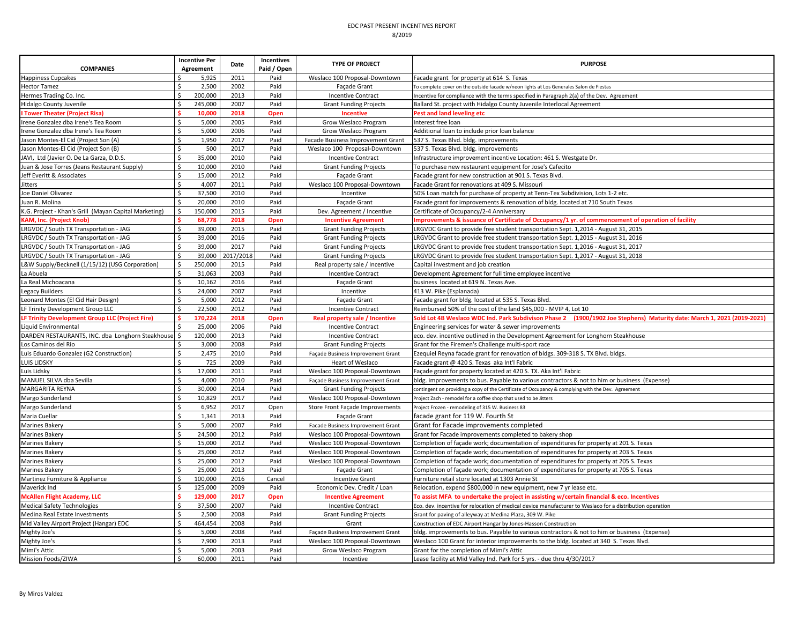| <b>COMPANIES</b>                                      | <b>Incentive Per</b><br>Agreement | Date      | Incentives<br>Paid / Open | <b>TYPE OF PROJECT</b>            | <b>PURPOSE</b>                                                                                                         |
|-------------------------------------------------------|-----------------------------------|-----------|---------------------------|-----------------------------------|------------------------------------------------------------------------------------------------------------------------|
| <b>Happiness Cupcakes</b>                             | 5,925                             | 2011      | Paid                      | Weslaco 100 Proposal-Downtown     | Facade grant for property at 614 S. Texas                                                                              |
| <b>Hector Tamez</b>                                   | Ś.<br>2,500                       | 2002      | Paid                      | Facade Grant                      | To complete cover on the outside facade w/neon lights at Los Generales Salon de Fiestas                                |
| Hermes Trading Co. Inc.                               | \$<br>200,000                     | 2013      | Paid                      | <b>Incentive Contract</b>         | Incentive for compliance with the terms specified in Paragraph 2(a) of the Dev. Agreement                              |
| Hidalgo County Juvenile                               | Ś<br>245,000                      | 2007      | Paid                      | <b>Grant Funding Projects</b>     | Ballard St. project with Hidalgo County Juvenile Interlocal Agreement                                                  |
| <b>I Tower Theater (Project Risa)</b>                 | 10,000                            | 2018      | Open                      | Incentive                         | Pest and land leveling etc                                                                                             |
| Irene Gonzalez dba Irene's Tea Room                   | Ś<br>5,000                        | 2005      | Paid                      | Grow Weslaco Program              | Interest free loan                                                                                                     |
| Irene Gonzalez dba Irene's Tea Room                   | \$<br>5,000                       | 2006      | Paid                      | Grow Weslaco Program              | Additional loan to include prior loan balance                                                                          |
| Jason Montes-El Cid (Project Son (A)                  | Ś<br>1,950                        | 2017      | Paid                      | Facade Business Improvement Grant | 537 S. Texas Blvd. bldg. improvements                                                                                  |
| Jason Montes-El Cid (Project Son (B)                  | Š.<br>500                         | 2017      | Paid                      | Weslaco 100 Proposal-Downtown     | 537 S. Texas Blvd. bldg. improvements                                                                                  |
| JAVI, Ltd (Javier O. De La Garza, D.D.S.              | Ś<br>35,000                       | 2010      | Paid                      | <b>Incentive Contract</b>         | Infrastructure improvement incentive Location: 461 S. Westgate Dr.                                                     |
| Juan & Jose Torres (Jeans Restaurant Supply)          | Ś<br>10,000                       | 2010      | Paid                      | <b>Grant Funding Projects</b>     | To purchase new restaurant equipment for Jose's Cafecito                                                               |
| Jeff Everitt & Associates                             | \$<br>15,000                      | 2012      | Paid                      | Facade Grant                      | Facade grant for new construction at 901 S. Texas Blvd.                                                                |
| Jitters                                               | Ś.<br>4,007                       | 2011      | Paid                      | Weslaco 100 Proposal-Downtown     | Facade Grant for renovations at 409 S. Missouri                                                                        |
| Joe Daniel Olivarez                                   | 37,500                            | 2010      | Paid                      | Incentive                         | 50% Loan match for purchase of property at Tenn-Tex Subdivision, Lots 1-2 etc.                                         |
| Juan R. Molina                                        | Ś<br>20,000                       | 2010      | Paid                      | Facade Grant                      | Facade grant for improvements & renovation of bldg. located at 710 South Texas                                         |
| K.G. Project - Khan's Grill (Mayan Capital Marketing) | Ś<br>150,000                      | 2015      | Paid                      | Dev. Agreement / Incentive        | Certificate of Occupancy/2-4 Anniversary                                                                               |
| <b>KAM, Inc. (Project Knob</b>                        | 68,778                            | 2018      | Open                      | <b>Incentive Agreement</b>        | Improvements & issuance of Certificate of Occupancy/1 yr. of commencement of operation of facility                     |
| LRGVDC / South TX Transportation - JAG                | 39,000<br>Ś                       | 2015      | Paid                      | <b>Grant Funding Projects</b>     | LRGVDC Grant to provide free student transportation Sept. 1,2014 - August 31, 2015                                     |
| LRGVDC / South TX Transportation - JAG                | Ś<br>39,000                       | 2016      | Paid                      | <b>Grant Funding Projects</b>     | LRGVDC Grant to provide free student transportation Sept. 1,2015 - August 31, 2016                                     |
| LRGVDC / South TX Transportation - JAG                | Ś.<br>39,000                      | 2017      | Paid                      | <b>Grant Funding Projects</b>     | LRGVDC Grant to provide free student transportation Sept. 1,2016 - August 31, 2017                                     |
| LRGVDC / South TX Transportation - JAG                | Ś.<br>39,000                      | 2017/2018 | Paid                      | <b>Grant Funding Projects</b>     | LRGVDC Grant to provide free student transportation Sept. 1,2017 - August 31, 2018                                     |
| L&W Supply/Becknell (1/15/12) (USG Corporation)       | 250,000<br>Ś                      | 2015      | Paid                      | Real property sale / Incentive    | Capital investment and job creation                                                                                    |
| La Abuela                                             | Ś<br>31,063                       | 2003      | Paid                      | <b>Incentive Contract</b>         | Development Agreement for full time employee incentive                                                                 |
| La Real Michoacana                                    | \$<br>10,162                      | 2016      | Paid                      | Façade Grant                      | business located at 619 N. Texas Ave.                                                                                  |
| Legacy Builders                                       | Ś.<br>24,000                      | 2007      | Paid                      | Incentive                         | 413 W. Pike (Esplanada)                                                                                                |
| Leonard Montes (El Cid Hair Design)                   | Ś.<br>5,000                       | 2012      | Paid                      | Façade Grant                      | Facade grant for bldg. located at 535 S. Texas Blvd.                                                                   |
| LF Trinity Development Group LLC                      | Ś<br>22,500                       | 2012      | Paid                      | <b>Incentive Contract</b>         | Reimbursed 50% of the cost of the land \$45,000 - MVIP 4, Lot 10                                                       |
| LF Trinity Development Group LLC (Project Fire)       | 170,224                           | 2018      | Open                      | Real property sale / Incentive    | Sold Lot 4B Weslaco WDC Ind. Park Subdivison Phase 2 (1900/1902 Joe Stephens) Maturity date: March 1, 2021 (2019-2021) |
| Liquid Environmental                                  | 25,000                            | 2006      | Paid                      | <b>Incentive Contract</b>         | Engineering services for water & sewer improvements                                                                    |
| DARDEN RESTAURANTS, INC. dba Longhorn Steakhouse      | Ś<br>120,000                      | 2013      | Paid                      | <b>Incentive Contract</b>         | eco. dev. incentive outlined in the Development Agreement for Longhorn Steakhouse                                      |
| Los Caminos del Rio                                   | Ś<br>3,000                        | 2008      | Paid                      | <b>Grant Funding Projects</b>     | Grant for the Firemen's Challenge multi-sport race                                                                     |
| Luis Eduardo Gonzalez (G2 Construction)               | Ś.<br>2,475                       | 2010      | Paid                      | Façade Business Improvement Grant | Ezequiel Reyna facade grant for renovation of bldgs. 309-318 S. TX Blvd. bldgs.                                        |
| <b>LUIS LIDSKY</b>                                    | \$<br>725                         | 2009      | Paid                      | Heart of Weslaco                  | Facade grant @ 420 S. Texas aka Int'l Fabric                                                                           |
| Luis Lidsky                                           | Ś<br>17,000                       | 2011      | Paid                      | Weslaco 100 Proposal-Downtown     | Facade grant for property located at 420 S. TX. Aka Int'l Fabric                                                       |
| MANUEL SILVA dba Sevilla                              | \$<br>4,000                       | 2010      | Paid                      | Façade Business Improvement Grant | bldg. improvements to bus. Payable to various contractors & not to him or business (Expense)                           |
| MARGARITA REYNA                                       | Ś.<br>30,000                      | 2014      | Paid                      | <b>Grant Funding Projects</b>     | contingent on providing a copy of the Certificate of Occupancy & complying with the Dev. Agreement                     |
| Margo Sunderland                                      | Ś<br>10,829                       | 2017      | Paid                      | Weslaco 100 Proposal-Downtown     | Project Zach - remodel for a coffee shop that used to be Jitters                                                       |
| Margo Sunderland                                      | \$<br>6,952                       | 2017      | Open                      | Store Front Façade Improvements   | Project Frozen - remodeling of 315 W. Business 83                                                                      |
| Maria Cuellar                                         | \$<br>1,341                       | 2013      | Paid                      | Façade Grant                      | facade grant for 119 W. Fourth St                                                                                      |
| Marines Bakery                                        | Ś.<br>5,000                       | 2007      | Paid                      |                                   |                                                                                                                        |
|                                                       | \$                                |           |                           | Facade Business Improvement Grant | Grant for Facade improvements completed                                                                                |
| <b>Marines Bakery</b>                                 | 24,500<br>Ś.                      | 2012      | Paid                      | Weslaco 100 Proposal-Downtown     | Grant for Facade improvements completed to bakery shop                                                                 |
| Marines Bakery                                        | 15,000                            | 2012      | Paid                      | Weslaco 100 Proposal-Downtown     | Completion of façade work; documentation of expenditures for property at 201 S. Texas                                  |
| <b>Marines Bakery</b>                                 | \$<br>25,000                      | 2012      | Paid                      | Weslaco 100 Proposal-Downtown     | Completion of façade work; documentation of expenditures for property at 203 S. Texas                                  |
| <b>Marines Bakery</b>                                 | Ś<br>25,000                       | 2012      | Paid                      | Weslaco 100 Proposal-Downtown     | Completion of façade work; documentation of expenditures for property at 205 S. Texas                                  |
| Marines Bakery                                        | Ś<br>25,000                       | 2013      | Paid                      | Façade Grant                      | Completion of façade work; documentation of expenditures for property at 705 S. Texas                                  |
| Martinez Furniture & Appliance                        | 100,000<br>Ś.                     | 2016      | Cancel                    | <b>Incentive Grant</b>            | Furniture retail store located at 1303 Annie St                                                                        |
| Maverick Ind                                          | Ś<br>125,000                      | 2009      | Paid                      | Economic Dev. Credit / Loan       | Relocation, expend \$800,000 in new equipment, new 7 yr lease etc.                                                     |
| <b>McAllen Flight Academy, LLC</b>                    | 129,000                           | 2017      | Open                      | <b>Incentive Agreement</b>        | To assist MFA to undertake the project in assisting w/certain financial & eco. Incentives                              |
| <b>Medical Safety Technologies</b>                    | \$<br>37,500                      | 2007      | Paid                      | <b>Incentive Contract</b>         | Eco. dev. incentive for relocation of medical device manufacturer to Weslaco for a distribution operation              |
| Medina Real Estate Investments                        | Ś.<br>2,500                       | 2008      | Paid                      | <b>Grant Funding Projects</b>     | Grant for paving of alleyway at Medina Plaza, 309 W. Pike                                                              |
| Mid Valley Airport Project (Hangar) EDC               | \$<br>464,454                     | 2008      | Paid                      | Grant                             | Construction of EDC Airport Hangar by Jones-Hasson Construction                                                        |
| Mighty Joe's                                          | Ś<br>5,000                        | 2008      | Paid                      | Façade Business Improvement Grant | bldg. improvements to bus. Payable to various contractors & not to him or business (Expense)                           |
| Mighty Joe's                                          | Ś<br>7,900                        | 2013      | Paid                      | Weslaco 100 Proposal-Downtown     | Weslaco 100 Grant for interior improvements to the bldg. located at 340 S. Texas Blvd.                                 |
| Mimi's Attic                                          | Ś.<br>5,000                       | 2003      | Paid                      | Grow Weslaco Program              | Grant for the completion of Mimi's Attic                                                                               |
| Mission Foods/ZIWA                                    | $\zeta$<br>60,000                 | 2011      | Paid                      | Incentive                         | Lease facility at Mid Valley Ind. Park for 5 yrs. - due thru 4/30/2017                                                 |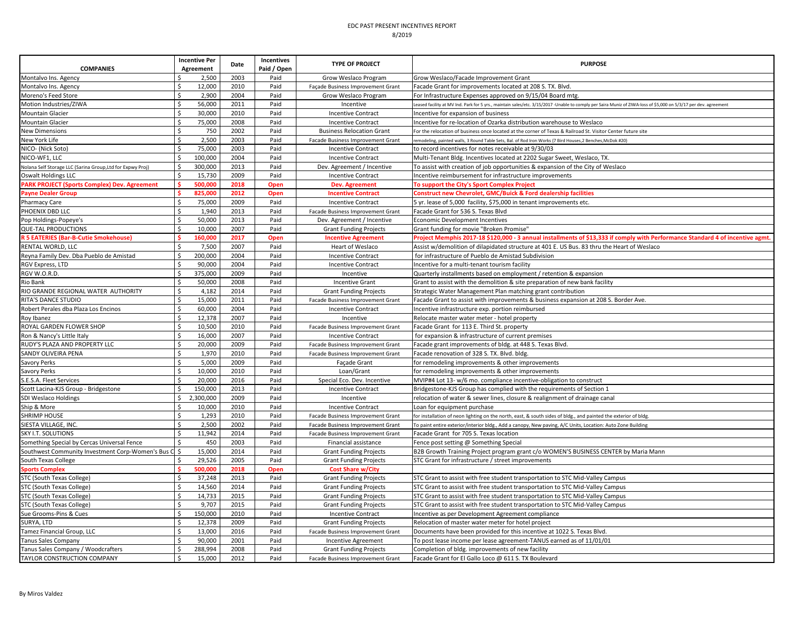| 2003<br>Montalvo Ins. Agency<br>2,500<br>Paid<br>Grow Weslaco Program<br>Grow Weslaco/Facade Improvement Grant<br>12,000<br>Montalvo Ins. Agency<br>2010<br>Paid<br>Facade Grant for improvements located at 208 S. TX. Blvd.<br>Ŝ.<br>Façade Business Improvement Grant<br>2,900<br>2004<br>Moreno's Feed Store<br>Ś<br>Paid<br>For Infrastructure Expenses approved on 9/15/04 Board mtg<br>Grow Weslaco Program<br>Ś<br>56,000<br>2011<br>Motion Industries/ZIWA<br>Paid<br>Incentive<br>eased facility at MV Ind. Park for 5 yrs., maintain sales/etc. 3/15/2017 -Unable to comply per Saira Muniz of ZIWA-loss of \$5,000 on 5/3/17 per dev. agreement<br>\$<br>30,000<br>2010<br>Paid<br><b>Incentive Contract</b><br>Incentive for expansion of business<br>75,000<br>2008<br><b>Mountain Glacier</b><br>Ŝ<br>Paid<br><b>Incentive Contract</b><br>Incentive for re-location of Ozarka distribution warehouse to Weslaco<br><b>New Dimensions</b><br>\$.<br>750<br>2002<br>Paid<br><b>Business Relocation Grant</b><br>For the relocation of business once located at the corner of Texas & Railroad St. Visitor Center future site<br>2,500<br>2003<br>Ś<br>Paid<br>Facade Business Improvement Grant<br>remodeling, painted walls, 3 Round Table Sets, Bal. of Rod Iron Works (7 Bird Houses,2 Benches, McDok #20)<br>75.000<br>2003<br>\$.<br>Paid<br><b>Incentive Contract</b><br>to record incentives for notes receivable at 9/30/03<br>\$<br>100,000<br>2004<br>Paid<br>Multi-Tenant Bldg. Incentives located at 2202 Sugar Sweet, Weslaco, TX<br><b>Incentive Contract</b><br>300,000<br>2013<br>Paid<br>Ś.<br>Dev. Agreement / Incentive<br>To assist with creation of job opportunities & expansion of the City of Weslaco<br>Nolana Self Storage LLC (Sarina Group, Ltd for Expwy Proj)<br>15,730<br>2009<br>Paid<br>Oswalt Holdings LLC<br><b>Incentive Contract</b><br>Incentive reimbursement for infrastructure improvements<br><b>PARK PROJECT (Sports Complex) Dev. Agreement</b><br>500,000<br>2018<br>Open<br>Dev. Agreement<br>To support the City's Sport Complex Project<br>825,000<br>2012<br>Construct new Chevrolet, GMC/Buick & Ford dealership facilities<br>Open<br><b>Incentive Contract</b><br>Ŝ.<br>75,000<br>2009<br>Paid<br>5 yr. lease of 5,000 facility, \$75,000 in tenant improvements etc.<br><b>Incentive Contract</b><br>1,940<br>2013<br>Ś<br>Paid<br>Facade Grant for 536 S. Texas Blvd<br>Facade Business Improvement Grant<br>2013<br>50,000<br>Paid<br>Pop Holdings-Popeye's<br>Dev. Agreement / Incentive<br><b>Economic Development Incentives</b><br>10,000<br>2007<br>Ś.<br>Paid<br><b>Grant Funding Projects</b><br>Grant funding for movie "Broken Promise"<br><b>R 5 EATERIES (Bar-B-Cutie Smokehouse)</b><br>160,000<br>2017<br>Project Memphis 2017-18 \$120,000 - 3 annual installments of \$13,333 if comply with Performance Standard 4 of incentive agmt.<br>Open<br><b>Incentive Agreement</b><br>7,500<br>2007<br>Paid<br>Assist w/demolition of dilapidated structure at 401 E. US Bus. 83 thru the Heart of Weslaco<br>Heart of Weslaco<br>200,000<br>2004<br>Paid<br>Ś<br>for infrastructure of Pueblo de Amistad Subdivision<br><b>Incentive Contract</b><br>2004<br>RGV Express, LTD<br>Ŝ.<br>90,000<br>Paid<br><b>Incentive Contract</b><br>Incentive for a multi-tenant tourism facility<br>375,000<br>2009<br>Paid<br>Ŝ.<br>Incentive<br>Quarterly installments based on employment / retention & expansion<br>50,000<br>2008<br>Paid<br>Ŝ.<br><b>Incentive Grant</b><br>Grant to assist with the demolition & site preparation of new bank facility<br>2014<br>RIO GRANDE REGIONAL WATER AUTHORITY<br>Ś<br>4,182<br>Paid<br>Strategic Water Management Plan matching grant contribution<br><b>Grant Funding Projects</b><br>15,000<br>2011<br>RITA'S DANCE STUDIO<br>\$<br>Paid<br>Facade Grant to assist with improvements & business expansion at 208 S. Border Ave.<br>Facade Business Improvement Grant<br>Ś<br>2004<br>Robert Perales dba Plaza Los Encinos<br>60,000<br>Paid<br>Incentive infrastructure exp. portion reimbursed<br><b>Incentive Contract</b><br>12,378<br>2007<br>Ś<br>Paid<br>Incentive<br>Relocate master water meter - hotel property<br>ROYAL GARDEN FLOWER SHOP<br>10,500<br>2010<br>Ś<br>Paid<br>Facade Grant for 113 E. Third St. property<br>Facade Business Improvement Grant<br>Ś<br>2007<br>16,000<br>Paid<br>Ron & Nancy's Little Italy<br><b>Incentive Contract</b><br>for expansion & infrastructure of current premises<br>20,000<br>2009<br>Ś.<br>Paid<br>Facade grant improvements of bldg. at 448 S. Texas Blvd.<br>Facade Business Improvement Grant<br>SANDY OLIVEIRA PENA<br>1,970<br>2010<br>Ś<br>Paid<br>Facade Business Improvement Grant<br>Facade renovation of 328 S. TX. Blvd. bldg.<br>5,000<br>2009<br>Paid<br>Savory Perks<br>for remodeling improvements & other improvements<br>Façade Grant<br>10,000<br>2010<br>Paid<br>Savory Perks<br>Loan/Grant<br>for remodeling improvements & other improvements<br>2016<br>20,000<br>Paid<br>S.E.S.A. Fleet Services<br>Special Eco. Dev. Incentive<br>MVIP#4 Lot 13- w/6 mo. compliance incentive-obligation to construct<br>150,000<br>2013<br>Scott Lacina-KJS Group - Bridgestone<br>Paid<br><b>Incentive Contract</b><br>Bridgestone-KJS Group has complied with the requirements of Section 1<br>\$<br>2,300,000<br>2009<br>Paid<br>SDI Weslaco Holdings<br>Incentive<br>relocation of water & sewer lines, closure & realignment of drainage canal<br>10,000<br>2010<br>Paid<br>Ship & More<br>Ś<br><b>Incentive Contract</b><br>Loan for equipment purchase<br>2010<br><b>SHRIMP HOUSE</b><br>Ŝ.<br>1,293<br>Paid<br>Facade Business Improvement Grant<br>for installation of neon lighting on the north, east, & south sides of bldg., and painted the exterior of bldg.<br>2002<br>SIESTA VILLAGE, INC.<br>2,500<br>Paid<br>Ŝ<br>Facade Business Improvement Grant<br>To paint entire exterior/interior bldg., Add a canopy, New paving, A/C Units, Location: Auto Zone Building<br>11,942<br>SKY I.T. SOLUTIONS<br>\$.<br>2014<br>Paid<br>Facade Grant for 705 S. Texas location<br>Facade Business Improvement Grant<br>Something Special by Cercas Universal Fence<br>450<br>2003<br>Paid<br>Ŝ<br>Financial assistance<br>Fence post setting @ Something Special<br>Ś<br>15,000<br>2014<br>Southwest Community Investment Corp-Women's Bus C<br>Paid<br>B2B Growth Training Project program grant c/o WOMEN'S BUSINESS CENTER by Maria Mann<br><b>Grant Funding Projects</b><br>South Texas College<br>29,526<br>2005<br>Paid<br>STC Grant for infrastructure / street improvements<br>\$<br><b>Grant Funding Projects</b><br>500,000<br>2018<br><b>Sports Complex</b><br>Open<br><b>Cost Share w/City</b><br>37,248<br>2013<br>Paid<br>STC (South Texas College)<br>Ś<br><b>Grant Funding Projects</b><br>STC Grant to assist with free student transportation to STC Mid-Valley Campus<br>14,560<br>2014<br>STC (South Texas College)<br>Paid<br>STC Grant to assist with free student transportation to STC Mid-Valley Campus<br>Ŝ.<br><b>Grant Funding Projects</b><br>2015<br>14,733<br>STC (South Texas College)<br>Ś.<br>Paid<br><b>Grant Funding Projects</b><br>STC Grant to assist with free student transportation to STC Mid-Valley Campus<br>STC (South Texas College)<br>Ś<br>9,707<br>2015<br>Paid<br>STC Grant to assist with free student transportation to STC Mid-Valley Campus<br><b>Grant Funding Projects</b><br>150,000<br>Sue Grooms-Pins & Cues<br>Ś<br>2010<br>Paid<br><b>Incentive Contract</b><br>Incentive as per Development Agreement compliance<br>12,378<br>2009<br>SURYA, LTD<br>Paid<br><b>Grant Funding Projects</b><br>Relocation of master water meter for hotel project<br>Tamez Financial Group, LLC<br>13,000<br>2016<br>Paid<br>Facade Business Improvement Grant<br>Documents have been provided for this incentive at 1022 S. Texas Blvd.<br>ς | <b>COMPANIES</b>                        | <b>Incentive Per</b><br>Agreement | Date | Incentives<br>Paid / Open | <b>TYPE OF PROJECT</b> | <b>PURPOSE</b>                                                       |
|--------------------------------------------------------------------------------------------------------------------------------------------------------------------------------------------------------------------------------------------------------------------------------------------------------------------------------------------------------------------------------------------------------------------------------------------------------------------------------------------------------------------------------------------------------------------------------------------------------------------------------------------------------------------------------------------------------------------------------------------------------------------------------------------------------------------------------------------------------------------------------------------------------------------------------------------------------------------------------------------------------------------------------------------------------------------------------------------------------------------------------------------------------------------------------------------------------------------------------------------------------------------------------------------------------------------------------------------------------------------------------------------------------------------------------------------------------------------------------------------------------------------------------------------------------------------------------------------------------------------------------------------------------------------------------------------------------------------------------------------------------------------------------------------------------------------------------------------------------------------------------------------------------------------------------------------------------------------------------------------------------------------------------------------------------------------------------------------------------------------------------------------------------------------------------------------------------------------------------------------------------------------------------------------------------------------------------------------------------------------------------------------------------------------------------------------------------------------------------------------------------------------------------------------------------------------------------------------------------------------------------------------------------------------------------------------------------------------------------------------------------------------------------------------------------------------------------------------------------------------------------------------------------------------------------------------------------------------------------------------------------------------------------------------------------------------------------------------------------------------------------------------------------------------------------------------------------------------------------------------------------------------------------------------------------------------------------------------------------------------------------------------------------------------------------------------------------------------------------------------------------------------------------------------------------------------------------------------------------------------------------------------------------------------------------------------------------------------------------------------------------------------------------------------------------------------------------------------------------------------------------------------------------------------------------------------------------------------------------------------------------------------------------------------------------------------------------------------------------------------------------------------------------------------------------------------------------------------------------------------------------------------------------------------------------------------------------------------------------------------------------------------------------------------------------------------------------------------------------------------------------------------------------------------------------------------------------------------------------------------------------------------------------------------------------------------------------------------------------------------------------------------------------------------------------------------------------------------------------------------------------------------------------------------------------------------------------------------------------------------------------------------------------------------------------------------------------------------------------------------------------------------------------------------------------------------------------------------------------------------------------------------------------------------------------------------------------------------------------------------------------------------------------------------------------------------------------------------------------------------------------------------------------------------------------------------------------------------------------------------------------------------------------------------------------------------------------------------------------------------------------------------------------------------------------------------------------------------------------------------------------------------------------------------------------------------------------------------------------------------------------------------------------------------------------------------------------------------------------------------------------------------------------------------------------------------------------------------------------------------------------------------------------------------------------------------------------------------------------------------------------------------------------------------------------------------------------------------------------------------------------------------------------------------------------------------------------------------------------------------------------------------------------------------------------------------------------------------------------------------------------------------------------------------------------------------------------------------------------------------------------------------------------------------------------------------------------------------------------------------------------------------------------------------------------------------------------------------------------------------------------------------------------------------------------------------------------------------------------------------------------------------------------------------------------------------------------------------------------------------------------------------------------------------------------------------------------------------------------------------------------------------------------------------------------------------------------------------------------------------------------------------------------------------------------------------------------------------------------------------------------------------------------------------------------------------------------------------------------------------------------------------------------------------------------------------------------------------------------------|-----------------------------------------|-----------------------------------|------|---------------------------|------------------------|----------------------------------------------------------------------|
|                                                                                                                                                                                                                                                                                                                                                                                                                                                                                                                                                                                                                                                                                                                                                                                                                                                                                                                                                                                                                                                                                                                                                                                                                                                                                                                                                                                                                                                                                                                                                                                                                                                                                                                                                                                                                                                                                                                                                                                                                                                                                                                                                                                                                                                                                                                                                                                                                                                                                                                                                                                                                                                                                                                                                                                                                                                                                                                                                                                                                                                                                                                                                                                                                                                                                                                                                                                                                                                                                                                                                                                                                                                                                                                                                                                                                                                                                                                                                                                                                                                                                                                                                                                                                                                                                                                                                                                                                                                                                                                                                                                                                                                                                                                                                                                                                                                                                                                                                                                                                                                                                                                                                                                                                                                                                                                                                                                                                                                                                                                                                                                                                                                                                                                                                                                                                                                                                                                                                                                                                                                                                                                                                                                                                                                                                                                                                                                                                                                                                                                                                                                                                                                                                                                                                                                                                                                                                                                                                                                                                                                                                                                                                                                                                                                                                                                                                                                                                                                                                                                                                                                                                                                                                                                                                                                                                                                                                                                                                                                      |                                         |                                   |      |                           |                        |                                                                      |
|                                                                                                                                                                                                                                                                                                                                                                                                                                                                                                                                                                                                                                                                                                                                                                                                                                                                                                                                                                                                                                                                                                                                                                                                                                                                                                                                                                                                                                                                                                                                                                                                                                                                                                                                                                                                                                                                                                                                                                                                                                                                                                                                                                                                                                                                                                                                                                                                                                                                                                                                                                                                                                                                                                                                                                                                                                                                                                                                                                                                                                                                                                                                                                                                                                                                                                                                                                                                                                                                                                                                                                                                                                                                                                                                                                                                                                                                                                                                                                                                                                                                                                                                                                                                                                                                                                                                                                                                                                                                                                                                                                                                                                                                                                                                                                                                                                                                                                                                                                                                                                                                                                                                                                                                                                                                                                                                                                                                                                                                                                                                                                                                                                                                                                                                                                                                                                                                                                                                                                                                                                                                                                                                                                                                                                                                                                                                                                                                                                                                                                                                                                                                                                                                                                                                                                                                                                                                                                                                                                                                                                                                                                                                                                                                                                                                                                                                                                                                                                                                                                                                                                                                                                                                                                                                                                                                                                                                                                                                                                                      |                                         |                                   |      |                           |                        |                                                                      |
|                                                                                                                                                                                                                                                                                                                                                                                                                                                                                                                                                                                                                                                                                                                                                                                                                                                                                                                                                                                                                                                                                                                                                                                                                                                                                                                                                                                                                                                                                                                                                                                                                                                                                                                                                                                                                                                                                                                                                                                                                                                                                                                                                                                                                                                                                                                                                                                                                                                                                                                                                                                                                                                                                                                                                                                                                                                                                                                                                                                                                                                                                                                                                                                                                                                                                                                                                                                                                                                                                                                                                                                                                                                                                                                                                                                                                                                                                                                                                                                                                                                                                                                                                                                                                                                                                                                                                                                                                                                                                                                                                                                                                                                                                                                                                                                                                                                                                                                                                                                                                                                                                                                                                                                                                                                                                                                                                                                                                                                                                                                                                                                                                                                                                                                                                                                                                                                                                                                                                                                                                                                                                                                                                                                                                                                                                                                                                                                                                                                                                                                                                                                                                                                                                                                                                                                                                                                                                                                                                                                                                                                                                                                                                                                                                                                                                                                                                                                                                                                                                                                                                                                                                                                                                                                                                                                                                                                                                                                                                                                      |                                         |                                   |      |                           |                        |                                                                      |
|                                                                                                                                                                                                                                                                                                                                                                                                                                                                                                                                                                                                                                                                                                                                                                                                                                                                                                                                                                                                                                                                                                                                                                                                                                                                                                                                                                                                                                                                                                                                                                                                                                                                                                                                                                                                                                                                                                                                                                                                                                                                                                                                                                                                                                                                                                                                                                                                                                                                                                                                                                                                                                                                                                                                                                                                                                                                                                                                                                                                                                                                                                                                                                                                                                                                                                                                                                                                                                                                                                                                                                                                                                                                                                                                                                                                                                                                                                                                                                                                                                                                                                                                                                                                                                                                                                                                                                                                                                                                                                                                                                                                                                                                                                                                                                                                                                                                                                                                                                                                                                                                                                                                                                                                                                                                                                                                                                                                                                                                                                                                                                                                                                                                                                                                                                                                                                                                                                                                                                                                                                                                                                                                                                                                                                                                                                                                                                                                                                                                                                                                                                                                                                                                                                                                                                                                                                                                                                                                                                                                                                                                                                                                                                                                                                                                                                                                                                                                                                                                                                                                                                                                                                                                                                                                                                                                                                                                                                                                                                                      |                                         |                                   |      |                           |                        |                                                                      |
|                                                                                                                                                                                                                                                                                                                                                                                                                                                                                                                                                                                                                                                                                                                                                                                                                                                                                                                                                                                                                                                                                                                                                                                                                                                                                                                                                                                                                                                                                                                                                                                                                                                                                                                                                                                                                                                                                                                                                                                                                                                                                                                                                                                                                                                                                                                                                                                                                                                                                                                                                                                                                                                                                                                                                                                                                                                                                                                                                                                                                                                                                                                                                                                                                                                                                                                                                                                                                                                                                                                                                                                                                                                                                                                                                                                                                                                                                                                                                                                                                                                                                                                                                                                                                                                                                                                                                                                                                                                                                                                                                                                                                                                                                                                                                                                                                                                                                                                                                                                                                                                                                                                                                                                                                                                                                                                                                                                                                                                                                                                                                                                                                                                                                                                                                                                                                                                                                                                                                                                                                                                                                                                                                                                                                                                                                                                                                                                                                                                                                                                                                                                                                                                                                                                                                                                                                                                                                                                                                                                                                                                                                                                                                                                                                                                                                                                                                                                                                                                                                                                                                                                                                                                                                                                                                                                                                                                                                                                                                                                      | <b>Mountain Glacier</b>                 |                                   |      |                           |                        |                                                                      |
|                                                                                                                                                                                                                                                                                                                                                                                                                                                                                                                                                                                                                                                                                                                                                                                                                                                                                                                                                                                                                                                                                                                                                                                                                                                                                                                                                                                                                                                                                                                                                                                                                                                                                                                                                                                                                                                                                                                                                                                                                                                                                                                                                                                                                                                                                                                                                                                                                                                                                                                                                                                                                                                                                                                                                                                                                                                                                                                                                                                                                                                                                                                                                                                                                                                                                                                                                                                                                                                                                                                                                                                                                                                                                                                                                                                                                                                                                                                                                                                                                                                                                                                                                                                                                                                                                                                                                                                                                                                                                                                                                                                                                                                                                                                                                                                                                                                                                                                                                                                                                                                                                                                                                                                                                                                                                                                                                                                                                                                                                                                                                                                                                                                                                                                                                                                                                                                                                                                                                                                                                                                                                                                                                                                                                                                                                                                                                                                                                                                                                                                                                                                                                                                                                                                                                                                                                                                                                                                                                                                                                                                                                                                                                                                                                                                                                                                                                                                                                                                                                                                                                                                                                                                                                                                                                                                                                                                                                                                                                                                      |                                         |                                   |      |                           |                        |                                                                      |
|                                                                                                                                                                                                                                                                                                                                                                                                                                                                                                                                                                                                                                                                                                                                                                                                                                                                                                                                                                                                                                                                                                                                                                                                                                                                                                                                                                                                                                                                                                                                                                                                                                                                                                                                                                                                                                                                                                                                                                                                                                                                                                                                                                                                                                                                                                                                                                                                                                                                                                                                                                                                                                                                                                                                                                                                                                                                                                                                                                                                                                                                                                                                                                                                                                                                                                                                                                                                                                                                                                                                                                                                                                                                                                                                                                                                                                                                                                                                                                                                                                                                                                                                                                                                                                                                                                                                                                                                                                                                                                                                                                                                                                                                                                                                                                                                                                                                                                                                                                                                                                                                                                                                                                                                                                                                                                                                                                                                                                                                                                                                                                                                                                                                                                                                                                                                                                                                                                                                                                                                                                                                                                                                                                                                                                                                                                                                                                                                                                                                                                                                                                                                                                                                                                                                                                                                                                                                                                                                                                                                                                                                                                                                                                                                                                                                                                                                                                                                                                                                                                                                                                                                                                                                                                                                                                                                                                                                                                                                                                                      |                                         |                                   |      |                           |                        |                                                                      |
|                                                                                                                                                                                                                                                                                                                                                                                                                                                                                                                                                                                                                                                                                                                                                                                                                                                                                                                                                                                                                                                                                                                                                                                                                                                                                                                                                                                                                                                                                                                                                                                                                                                                                                                                                                                                                                                                                                                                                                                                                                                                                                                                                                                                                                                                                                                                                                                                                                                                                                                                                                                                                                                                                                                                                                                                                                                                                                                                                                                                                                                                                                                                                                                                                                                                                                                                                                                                                                                                                                                                                                                                                                                                                                                                                                                                                                                                                                                                                                                                                                                                                                                                                                                                                                                                                                                                                                                                                                                                                                                                                                                                                                                                                                                                                                                                                                                                                                                                                                                                                                                                                                                                                                                                                                                                                                                                                                                                                                                                                                                                                                                                                                                                                                                                                                                                                                                                                                                                                                                                                                                                                                                                                                                                                                                                                                                                                                                                                                                                                                                                                                                                                                                                                                                                                                                                                                                                                                                                                                                                                                                                                                                                                                                                                                                                                                                                                                                                                                                                                                                                                                                                                                                                                                                                                                                                                                                                                                                                                                                      | New York Life                           |                                   |      |                           |                        |                                                                      |
|                                                                                                                                                                                                                                                                                                                                                                                                                                                                                                                                                                                                                                                                                                                                                                                                                                                                                                                                                                                                                                                                                                                                                                                                                                                                                                                                                                                                                                                                                                                                                                                                                                                                                                                                                                                                                                                                                                                                                                                                                                                                                                                                                                                                                                                                                                                                                                                                                                                                                                                                                                                                                                                                                                                                                                                                                                                                                                                                                                                                                                                                                                                                                                                                                                                                                                                                                                                                                                                                                                                                                                                                                                                                                                                                                                                                                                                                                                                                                                                                                                                                                                                                                                                                                                                                                                                                                                                                                                                                                                                                                                                                                                                                                                                                                                                                                                                                                                                                                                                                                                                                                                                                                                                                                                                                                                                                                                                                                                                                                                                                                                                                                                                                                                                                                                                                                                                                                                                                                                                                                                                                                                                                                                                                                                                                                                                                                                                                                                                                                                                                                                                                                                                                                                                                                                                                                                                                                                                                                                                                                                                                                                                                                                                                                                                                                                                                                                                                                                                                                                                                                                                                                                                                                                                                                                                                                                                                                                                                                                                      | NICO- (Nick Soto)                       |                                   |      |                           |                        |                                                                      |
|                                                                                                                                                                                                                                                                                                                                                                                                                                                                                                                                                                                                                                                                                                                                                                                                                                                                                                                                                                                                                                                                                                                                                                                                                                                                                                                                                                                                                                                                                                                                                                                                                                                                                                                                                                                                                                                                                                                                                                                                                                                                                                                                                                                                                                                                                                                                                                                                                                                                                                                                                                                                                                                                                                                                                                                                                                                                                                                                                                                                                                                                                                                                                                                                                                                                                                                                                                                                                                                                                                                                                                                                                                                                                                                                                                                                                                                                                                                                                                                                                                                                                                                                                                                                                                                                                                                                                                                                                                                                                                                                                                                                                                                                                                                                                                                                                                                                                                                                                                                                                                                                                                                                                                                                                                                                                                                                                                                                                                                                                                                                                                                                                                                                                                                                                                                                                                                                                                                                                                                                                                                                                                                                                                                                                                                                                                                                                                                                                                                                                                                                                                                                                                                                                                                                                                                                                                                                                                                                                                                                                                                                                                                                                                                                                                                                                                                                                                                                                                                                                                                                                                                                                                                                                                                                                                                                                                                                                                                                                                                      | NICO-WF1, LLC                           |                                   |      |                           |                        |                                                                      |
|                                                                                                                                                                                                                                                                                                                                                                                                                                                                                                                                                                                                                                                                                                                                                                                                                                                                                                                                                                                                                                                                                                                                                                                                                                                                                                                                                                                                                                                                                                                                                                                                                                                                                                                                                                                                                                                                                                                                                                                                                                                                                                                                                                                                                                                                                                                                                                                                                                                                                                                                                                                                                                                                                                                                                                                                                                                                                                                                                                                                                                                                                                                                                                                                                                                                                                                                                                                                                                                                                                                                                                                                                                                                                                                                                                                                                                                                                                                                                                                                                                                                                                                                                                                                                                                                                                                                                                                                                                                                                                                                                                                                                                                                                                                                                                                                                                                                                                                                                                                                                                                                                                                                                                                                                                                                                                                                                                                                                                                                                                                                                                                                                                                                                                                                                                                                                                                                                                                                                                                                                                                                                                                                                                                                                                                                                                                                                                                                                                                                                                                                                                                                                                                                                                                                                                                                                                                                                                                                                                                                                                                                                                                                                                                                                                                                                                                                                                                                                                                                                                                                                                                                                                                                                                                                                                                                                                                                                                                                                                                      |                                         |                                   |      |                           |                        |                                                                      |
|                                                                                                                                                                                                                                                                                                                                                                                                                                                                                                                                                                                                                                                                                                                                                                                                                                                                                                                                                                                                                                                                                                                                                                                                                                                                                                                                                                                                                                                                                                                                                                                                                                                                                                                                                                                                                                                                                                                                                                                                                                                                                                                                                                                                                                                                                                                                                                                                                                                                                                                                                                                                                                                                                                                                                                                                                                                                                                                                                                                                                                                                                                                                                                                                                                                                                                                                                                                                                                                                                                                                                                                                                                                                                                                                                                                                                                                                                                                                                                                                                                                                                                                                                                                                                                                                                                                                                                                                                                                                                                                                                                                                                                                                                                                                                                                                                                                                                                                                                                                                                                                                                                                                                                                                                                                                                                                                                                                                                                                                                                                                                                                                                                                                                                                                                                                                                                                                                                                                                                                                                                                                                                                                                                                                                                                                                                                                                                                                                                                                                                                                                                                                                                                                                                                                                                                                                                                                                                                                                                                                                                                                                                                                                                                                                                                                                                                                                                                                                                                                                                                                                                                                                                                                                                                                                                                                                                                                                                                                                                                      |                                         |                                   |      |                           |                        |                                                                      |
|                                                                                                                                                                                                                                                                                                                                                                                                                                                                                                                                                                                                                                                                                                                                                                                                                                                                                                                                                                                                                                                                                                                                                                                                                                                                                                                                                                                                                                                                                                                                                                                                                                                                                                                                                                                                                                                                                                                                                                                                                                                                                                                                                                                                                                                                                                                                                                                                                                                                                                                                                                                                                                                                                                                                                                                                                                                                                                                                                                                                                                                                                                                                                                                                                                                                                                                                                                                                                                                                                                                                                                                                                                                                                                                                                                                                                                                                                                                                                                                                                                                                                                                                                                                                                                                                                                                                                                                                                                                                                                                                                                                                                                                                                                                                                                                                                                                                                                                                                                                                                                                                                                                                                                                                                                                                                                                                                                                                                                                                                                                                                                                                                                                                                                                                                                                                                                                                                                                                                                                                                                                                                                                                                                                                                                                                                                                                                                                                                                                                                                                                                                                                                                                                                                                                                                                                                                                                                                                                                                                                                                                                                                                                                                                                                                                                                                                                                                                                                                                                                                                                                                                                                                                                                                                                                                                                                                                                                                                                                                                      |                                         |                                   |      |                           |                        |                                                                      |
|                                                                                                                                                                                                                                                                                                                                                                                                                                                                                                                                                                                                                                                                                                                                                                                                                                                                                                                                                                                                                                                                                                                                                                                                                                                                                                                                                                                                                                                                                                                                                                                                                                                                                                                                                                                                                                                                                                                                                                                                                                                                                                                                                                                                                                                                                                                                                                                                                                                                                                                                                                                                                                                                                                                                                                                                                                                                                                                                                                                                                                                                                                                                                                                                                                                                                                                                                                                                                                                                                                                                                                                                                                                                                                                                                                                                                                                                                                                                                                                                                                                                                                                                                                                                                                                                                                                                                                                                                                                                                                                                                                                                                                                                                                                                                                                                                                                                                                                                                                                                                                                                                                                                                                                                                                                                                                                                                                                                                                                                                                                                                                                                                                                                                                                                                                                                                                                                                                                                                                                                                                                                                                                                                                                                                                                                                                                                                                                                                                                                                                                                                                                                                                                                                                                                                                                                                                                                                                                                                                                                                                                                                                                                                                                                                                                                                                                                                                                                                                                                                                                                                                                                                                                                                                                                                                                                                                                                                                                                                                                      | <b>Payne Dealer Group</b>               |                                   |      |                           |                        |                                                                      |
|                                                                                                                                                                                                                                                                                                                                                                                                                                                                                                                                                                                                                                                                                                                                                                                                                                                                                                                                                                                                                                                                                                                                                                                                                                                                                                                                                                                                                                                                                                                                                                                                                                                                                                                                                                                                                                                                                                                                                                                                                                                                                                                                                                                                                                                                                                                                                                                                                                                                                                                                                                                                                                                                                                                                                                                                                                                                                                                                                                                                                                                                                                                                                                                                                                                                                                                                                                                                                                                                                                                                                                                                                                                                                                                                                                                                                                                                                                                                                                                                                                                                                                                                                                                                                                                                                                                                                                                                                                                                                                                                                                                                                                                                                                                                                                                                                                                                                                                                                                                                                                                                                                                                                                                                                                                                                                                                                                                                                                                                                                                                                                                                                                                                                                                                                                                                                                                                                                                                                                                                                                                                                                                                                                                                                                                                                                                                                                                                                                                                                                                                                                                                                                                                                                                                                                                                                                                                                                                                                                                                                                                                                                                                                                                                                                                                                                                                                                                                                                                                                                                                                                                                                                                                                                                                                                                                                                                                                                                                                                                      | Pharmacy Care                           |                                   |      |                           |                        |                                                                      |
|                                                                                                                                                                                                                                                                                                                                                                                                                                                                                                                                                                                                                                                                                                                                                                                                                                                                                                                                                                                                                                                                                                                                                                                                                                                                                                                                                                                                                                                                                                                                                                                                                                                                                                                                                                                                                                                                                                                                                                                                                                                                                                                                                                                                                                                                                                                                                                                                                                                                                                                                                                                                                                                                                                                                                                                                                                                                                                                                                                                                                                                                                                                                                                                                                                                                                                                                                                                                                                                                                                                                                                                                                                                                                                                                                                                                                                                                                                                                                                                                                                                                                                                                                                                                                                                                                                                                                                                                                                                                                                                                                                                                                                                                                                                                                                                                                                                                                                                                                                                                                                                                                                                                                                                                                                                                                                                                                                                                                                                                                                                                                                                                                                                                                                                                                                                                                                                                                                                                                                                                                                                                                                                                                                                                                                                                                                                                                                                                                                                                                                                                                                                                                                                                                                                                                                                                                                                                                                                                                                                                                                                                                                                                                                                                                                                                                                                                                                                                                                                                                                                                                                                                                                                                                                                                                                                                                                                                                                                                                                                      | PHOENIX DBD LLC                         |                                   |      |                           |                        |                                                                      |
|                                                                                                                                                                                                                                                                                                                                                                                                                                                                                                                                                                                                                                                                                                                                                                                                                                                                                                                                                                                                                                                                                                                                                                                                                                                                                                                                                                                                                                                                                                                                                                                                                                                                                                                                                                                                                                                                                                                                                                                                                                                                                                                                                                                                                                                                                                                                                                                                                                                                                                                                                                                                                                                                                                                                                                                                                                                                                                                                                                                                                                                                                                                                                                                                                                                                                                                                                                                                                                                                                                                                                                                                                                                                                                                                                                                                                                                                                                                                                                                                                                                                                                                                                                                                                                                                                                                                                                                                                                                                                                                                                                                                                                                                                                                                                                                                                                                                                                                                                                                                                                                                                                                                                                                                                                                                                                                                                                                                                                                                                                                                                                                                                                                                                                                                                                                                                                                                                                                                                                                                                                                                                                                                                                                                                                                                                                                                                                                                                                                                                                                                                                                                                                                                                                                                                                                                                                                                                                                                                                                                                                                                                                                                                                                                                                                                                                                                                                                                                                                                                                                                                                                                                                                                                                                                                                                                                                                                                                                                                                                      |                                         |                                   |      |                           |                        |                                                                      |
|                                                                                                                                                                                                                                                                                                                                                                                                                                                                                                                                                                                                                                                                                                                                                                                                                                                                                                                                                                                                                                                                                                                                                                                                                                                                                                                                                                                                                                                                                                                                                                                                                                                                                                                                                                                                                                                                                                                                                                                                                                                                                                                                                                                                                                                                                                                                                                                                                                                                                                                                                                                                                                                                                                                                                                                                                                                                                                                                                                                                                                                                                                                                                                                                                                                                                                                                                                                                                                                                                                                                                                                                                                                                                                                                                                                                                                                                                                                                                                                                                                                                                                                                                                                                                                                                                                                                                                                                                                                                                                                                                                                                                                                                                                                                                                                                                                                                                                                                                                                                                                                                                                                                                                                                                                                                                                                                                                                                                                                                                                                                                                                                                                                                                                                                                                                                                                                                                                                                                                                                                                                                                                                                                                                                                                                                                                                                                                                                                                                                                                                                                                                                                                                                                                                                                                                                                                                                                                                                                                                                                                                                                                                                                                                                                                                                                                                                                                                                                                                                                                                                                                                                                                                                                                                                                                                                                                                                                                                                                                                      | <b>QUE-TAL PRODUCTIONS</b>              |                                   |      |                           |                        |                                                                      |
|                                                                                                                                                                                                                                                                                                                                                                                                                                                                                                                                                                                                                                                                                                                                                                                                                                                                                                                                                                                                                                                                                                                                                                                                                                                                                                                                                                                                                                                                                                                                                                                                                                                                                                                                                                                                                                                                                                                                                                                                                                                                                                                                                                                                                                                                                                                                                                                                                                                                                                                                                                                                                                                                                                                                                                                                                                                                                                                                                                                                                                                                                                                                                                                                                                                                                                                                                                                                                                                                                                                                                                                                                                                                                                                                                                                                                                                                                                                                                                                                                                                                                                                                                                                                                                                                                                                                                                                                                                                                                                                                                                                                                                                                                                                                                                                                                                                                                                                                                                                                                                                                                                                                                                                                                                                                                                                                                                                                                                                                                                                                                                                                                                                                                                                                                                                                                                                                                                                                                                                                                                                                                                                                                                                                                                                                                                                                                                                                                                                                                                                                                                                                                                                                                                                                                                                                                                                                                                                                                                                                                                                                                                                                                                                                                                                                                                                                                                                                                                                                                                                                                                                                                                                                                                                                                                                                                                                                                                                                                                                      |                                         |                                   |      |                           |                        |                                                                      |
|                                                                                                                                                                                                                                                                                                                                                                                                                                                                                                                                                                                                                                                                                                                                                                                                                                                                                                                                                                                                                                                                                                                                                                                                                                                                                                                                                                                                                                                                                                                                                                                                                                                                                                                                                                                                                                                                                                                                                                                                                                                                                                                                                                                                                                                                                                                                                                                                                                                                                                                                                                                                                                                                                                                                                                                                                                                                                                                                                                                                                                                                                                                                                                                                                                                                                                                                                                                                                                                                                                                                                                                                                                                                                                                                                                                                                                                                                                                                                                                                                                                                                                                                                                                                                                                                                                                                                                                                                                                                                                                                                                                                                                                                                                                                                                                                                                                                                                                                                                                                                                                                                                                                                                                                                                                                                                                                                                                                                                                                                                                                                                                                                                                                                                                                                                                                                                                                                                                                                                                                                                                                                                                                                                                                                                                                                                                                                                                                                                                                                                                                                                                                                                                                                                                                                                                                                                                                                                                                                                                                                                                                                                                                                                                                                                                                                                                                                                                                                                                                                                                                                                                                                                                                                                                                                                                                                                                                                                                                                                                      | RENTAL WORLD, LLC                       |                                   |      |                           |                        |                                                                      |
|                                                                                                                                                                                                                                                                                                                                                                                                                                                                                                                                                                                                                                                                                                                                                                                                                                                                                                                                                                                                                                                                                                                                                                                                                                                                                                                                                                                                                                                                                                                                                                                                                                                                                                                                                                                                                                                                                                                                                                                                                                                                                                                                                                                                                                                                                                                                                                                                                                                                                                                                                                                                                                                                                                                                                                                                                                                                                                                                                                                                                                                                                                                                                                                                                                                                                                                                                                                                                                                                                                                                                                                                                                                                                                                                                                                                                                                                                                                                                                                                                                                                                                                                                                                                                                                                                                                                                                                                                                                                                                                                                                                                                                                                                                                                                                                                                                                                                                                                                                                                                                                                                                                                                                                                                                                                                                                                                                                                                                                                                                                                                                                                                                                                                                                                                                                                                                                                                                                                                                                                                                                                                                                                                                                                                                                                                                                                                                                                                                                                                                                                                                                                                                                                                                                                                                                                                                                                                                                                                                                                                                                                                                                                                                                                                                                                                                                                                                                                                                                                                                                                                                                                                                                                                                                                                                                                                                                                                                                                                                                      | Reyna Family Dev. Dba Pueblo de Amistad |                                   |      |                           |                        |                                                                      |
|                                                                                                                                                                                                                                                                                                                                                                                                                                                                                                                                                                                                                                                                                                                                                                                                                                                                                                                                                                                                                                                                                                                                                                                                                                                                                                                                                                                                                                                                                                                                                                                                                                                                                                                                                                                                                                                                                                                                                                                                                                                                                                                                                                                                                                                                                                                                                                                                                                                                                                                                                                                                                                                                                                                                                                                                                                                                                                                                                                                                                                                                                                                                                                                                                                                                                                                                                                                                                                                                                                                                                                                                                                                                                                                                                                                                                                                                                                                                                                                                                                                                                                                                                                                                                                                                                                                                                                                                                                                                                                                                                                                                                                                                                                                                                                                                                                                                                                                                                                                                                                                                                                                                                                                                                                                                                                                                                                                                                                                                                                                                                                                                                                                                                                                                                                                                                                                                                                                                                                                                                                                                                                                                                                                                                                                                                                                                                                                                                                                                                                                                                                                                                                                                                                                                                                                                                                                                                                                                                                                                                                                                                                                                                                                                                                                                                                                                                                                                                                                                                                                                                                                                                                                                                                                                                                                                                                                                                                                                                                                      |                                         |                                   |      |                           |                        |                                                                      |
|                                                                                                                                                                                                                                                                                                                                                                                                                                                                                                                                                                                                                                                                                                                                                                                                                                                                                                                                                                                                                                                                                                                                                                                                                                                                                                                                                                                                                                                                                                                                                                                                                                                                                                                                                                                                                                                                                                                                                                                                                                                                                                                                                                                                                                                                                                                                                                                                                                                                                                                                                                                                                                                                                                                                                                                                                                                                                                                                                                                                                                                                                                                                                                                                                                                                                                                                                                                                                                                                                                                                                                                                                                                                                                                                                                                                                                                                                                                                                                                                                                                                                                                                                                                                                                                                                                                                                                                                                                                                                                                                                                                                                                                                                                                                                                                                                                                                                                                                                                                                                                                                                                                                                                                                                                                                                                                                                                                                                                                                                                                                                                                                                                                                                                                                                                                                                                                                                                                                                                                                                                                                                                                                                                                                                                                                                                                                                                                                                                                                                                                                                                                                                                                                                                                                                                                                                                                                                                                                                                                                                                                                                                                                                                                                                                                                                                                                                                                                                                                                                                                                                                                                                                                                                                                                                                                                                                                                                                                                                                                      | RGV W.O.R.D.                            |                                   |      |                           |                        |                                                                      |
|                                                                                                                                                                                                                                                                                                                                                                                                                                                                                                                                                                                                                                                                                                                                                                                                                                                                                                                                                                                                                                                                                                                                                                                                                                                                                                                                                                                                                                                                                                                                                                                                                                                                                                                                                                                                                                                                                                                                                                                                                                                                                                                                                                                                                                                                                                                                                                                                                                                                                                                                                                                                                                                                                                                                                                                                                                                                                                                                                                                                                                                                                                                                                                                                                                                                                                                                                                                                                                                                                                                                                                                                                                                                                                                                                                                                                                                                                                                                                                                                                                                                                                                                                                                                                                                                                                                                                                                                                                                                                                                                                                                                                                                                                                                                                                                                                                                                                                                                                                                                                                                                                                                                                                                                                                                                                                                                                                                                                                                                                                                                                                                                                                                                                                                                                                                                                                                                                                                                                                                                                                                                                                                                                                                                                                                                                                                                                                                                                                                                                                                                                                                                                                                                                                                                                                                                                                                                                                                                                                                                                                                                                                                                                                                                                                                                                                                                                                                                                                                                                                                                                                                                                                                                                                                                                                                                                                                                                                                                                                                      | Rio Bank                                |                                   |      |                           |                        |                                                                      |
|                                                                                                                                                                                                                                                                                                                                                                                                                                                                                                                                                                                                                                                                                                                                                                                                                                                                                                                                                                                                                                                                                                                                                                                                                                                                                                                                                                                                                                                                                                                                                                                                                                                                                                                                                                                                                                                                                                                                                                                                                                                                                                                                                                                                                                                                                                                                                                                                                                                                                                                                                                                                                                                                                                                                                                                                                                                                                                                                                                                                                                                                                                                                                                                                                                                                                                                                                                                                                                                                                                                                                                                                                                                                                                                                                                                                                                                                                                                                                                                                                                                                                                                                                                                                                                                                                                                                                                                                                                                                                                                                                                                                                                                                                                                                                                                                                                                                                                                                                                                                                                                                                                                                                                                                                                                                                                                                                                                                                                                                                                                                                                                                                                                                                                                                                                                                                                                                                                                                                                                                                                                                                                                                                                                                                                                                                                                                                                                                                                                                                                                                                                                                                                                                                                                                                                                                                                                                                                                                                                                                                                                                                                                                                                                                                                                                                                                                                                                                                                                                                                                                                                                                                                                                                                                                                                                                                                                                                                                                                                                      |                                         |                                   |      |                           |                        |                                                                      |
|                                                                                                                                                                                                                                                                                                                                                                                                                                                                                                                                                                                                                                                                                                                                                                                                                                                                                                                                                                                                                                                                                                                                                                                                                                                                                                                                                                                                                                                                                                                                                                                                                                                                                                                                                                                                                                                                                                                                                                                                                                                                                                                                                                                                                                                                                                                                                                                                                                                                                                                                                                                                                                                                                                                                                                                                                                                                                                                                                                                                                                                                                                                                                                                                                                                                                                                                                                                                                                                                                                                                                                                                                                                                                                                                                                                                                                                                                                                                                                                                                                                                                                                                                                                                                                                                                                                                                                                                                                                                                                                                                                                                                                                                                                                                                                                                                                                                                                                                                                                                                                                                                                                                                                                                                                                                                                                                                                                                                                                                                                                                                                                                                                                                                                                                                                                                                                                                                                                                                                                                                                                                                                                                                                                                                                                                                                                                                                                                                                                                                                                                                                                                                                                                                                                                                                                                                                                                                                                                                                                                                                                                                                                                                                                                                                                                                                                                                                                                                                                                                                                                                                                                                                                                                                                                                                                                                                                                                                                                                                                      |                                         |                                   |      |                           |                        |                                                                      |
|                                                                                                                                                                                                                                                                                                                                                                                                                                                                                                                                                                                                                                                                                                                                                                                                                                                                                                                                                                                                                                                                                                                                                                                                                                                                                                                                                                                                                                                                                                                                                                                                                                                                                                                                                                                                                                                                                                                                                                                                                                                                                                                                                                                                                                                                                                                                                                                                                                                                                                                                                                                                                                                                                                                                                                                                                                                                                                                                                                                                                                                                                                                                                                                                                                                                                                                                                                                                                                                                                                                                                                                                                                                                                                                                                                                                                                                                                                                                                                                                                                                                                                                                                                                                                                                                                                                                                                                                                                                                                                                                                                                                                                                                                                                                                                                                                                                                                                                                                                                                                                                                                                                                                                                                                                                                                                                                                                                                                                                                                                                                                                                                                                                                                                                                                                                                                                                                                                                                                                                                                                                                                                                                                                                                                                                                                                                                                                                                                                                                                                                                                                                                                                                                                                                                                                                                                                                                                                                                                                                                                                                                                                                                                                                                                                                                                                                                                                                                                                                                                                                                                                                                                                                                                                                                                                                                                                                                                                                                                                                      |                                         |                                   |      |                           |                        |                                                                      |
|                                                                                                                                                                                                                                                                                                                                                                                                                                                                                                                                                                                                                                                                                                                                                                                                                                                                                                                                                                                                                                                                                                                                                                                                                                                                                                                                                                                                                                                                                                                                                                                                                                                                                                                                                                                                                                                                                                                                                                                                                                                                                                                                                                                                                                                                                                                                                                                                                                                                                                                                                                                                                                                                                                                                                                                                                                                                                                                                                                                                                                                                                                                                                                                                                                                                                                                                                                                                                                                                                                                                                                                                                                                                                                                                                                                                                                                                                                                                                                                                                                                                                                                                                                                                                                                                                                                                                                                                                                                                                                                                                                                                                                                                                                                                                                                                                                                                                                                                                                                                                                                                                                                                                                                                                                                                                                                                                                                                                                                                                                                                                                                                                                                                                                                                                                                                                                                                                                                                                                                                                                                                                                                                                                                                                                                                                                                                                                                                                                                                                                                                                                                                                                                                                                                                                                                                                                                                                                                                                                                                                                                                                                                                                                                                                                                                                                                                                                                                                                                                                                                                                                                                                                                                                                                                                                                                                                                                                                                                                                                      | Roy Ibanez                              |                                   |      |                           |                        |                                                                      |
|                                                                                                                                                                                                                                                                                                                                                                                                                                                                                                                                                                                                                                                                                                                                                                                                                                                                                                                                                                                                                                                                                                                                                                                                                                                                                                                                                                                                                                                                                                                                                                                                                                                                                                                                                                                                                                                                                                                                                                                                                                                                                                                                                                                                                                                                                                                                                                                                                                                                                                                                                                                                                                                                                                                                                                                                                                                                                                                                                                                                                                                                                                                                                                                                                                                                                                                                                                                                                                                                                                                                                                                                                                                                                                                                                                                                                                                                                                                                                                                                                                                                                                                                                                                                                                                                                                                                                                                                                                                                                                                                                                                                                                                                                                                                                                                                                                                                                                                                                                                                                                                                                                                                                                                                                                                                                                                                                                                                                                                                                                                                                                                                                                                                                                                                                                                                                                                                                                                                                                                                                                                                                                                                                                                                                                                                                                                                                                                                                                                                                                                                                                                                                                                                                                                                                                                                                                                                                                                                                                                                                                                                                                                                                                                                                                                                                                                                                                                                                                                                                                                                                                                                                                                                                                                                                                                                                                                                                                                                                                                      |                                         |                                   |      |                           |                        |                                                                      |
|                                                                                                                                                                                                                                                                                                                                                                                                                                                                                                                                                                                                                                                                                                                                                                                                                                                                                                                                                                                                                                                                                                                                                                                                                                                                                                                                                                                                                                                                                                                                                                                                                                                                                                                                                                                                                                                                                                                                                                                                                                                                                                                                                                                                                                                                                                                                                                                                                                                                                                                                                                                                                                                                                                                                                                                                                                                                                                                                                                                                                                                                                                                                                                                                                                                                                                                                                                                                                                                                                                                                                                                                                                                                                                                                                                                                                                                                                                                                                                                                                                                                                                                                                                                                                                                                                                                                                                                                                                                                                                                                                                                                                                                                                                                                                                                                                                                                                                                                                                                                                                                                                                                                                                                                                                                                                                                                                                                                                                                                                                                                                                                                                                                                                                                                                                                                                                                                                                                                                                                                                                                                                                                                                                                                                                                                                                                                                                                                                                                                                                                                                                                                                                                                                                                                                                                                                                                                                                                                                                                                                                                                                                                                                                                                                                                                                                                                                                                                                                                                                                                                                                                                                                                                                                                                                                                                                                                                                                                                                                                      |                                         |                                   |      |                           |                        |                                                                      |
|                                                                                                                                                                                                                                                                                                                                                                                                                                                                                                                                                                                                                                                                                                                                                                                                                                                                                                                                                                                                                                                                                                                                                                                                                                                                                                                                                                                                                                                                                                                                                                                                                                                                                                                                                                                                                                                                                                                                                                                                                                                                                                                                                                                                                                                                                                                                                                                                                                                                                                                                                                                                                                                                                                                                                                                                                                                                                                                                                                                                                                                                                                                                                                                                                                                                                                                                                                                                                                                                                                                                                                                                                                                                                                                                                                                                                                                                                                                                                                                                                                                                                                                                                                                                                                                                                                                                                                                                                                                                                                                                                                                                                                                                                                                                                                                                                                                                                                                                                                                                                                                                                                                                                                                                                                                                                                                                                                                                                                                                                                                                                                                                                                                                                                                                                                                                                                                                                                                                                                                                                                                                                                                                                                                                                                                                                                                                                                                                                                                                                                                                                                                                                                                                                                                                                                                                                                                                                                                                                                                                                                                                                                                                                                                                                                                                                                                                                                                                                                                                                                                                                                                                                                                                                                                                                                                                                                                                                                                                                                                      | RUDY'S PLAZA AND PROPERTY LLC           |                                   |      |                           |                        |                                                                      |
|                                                                                                                                                                                                                                                                                                                                                                                                                                                                                                                                                                                                                                                                                                                                                                                                                                                                                                                                                                                                                                                                                                                                                                                                                                                                                                                                                                                                                                                                                                                                                                                                                                                                                                                                                                                                                                                                                                                                                                                                                                                                                                                                                                                                                                                                                                                                                                                                                                                                                                                                                                                                                                                                                                                                                                                                                                                                                                                                                                                                                                                                                                                                                                                                                                                                                                                                                                                                                                                                                                                                                                                                                                                                                                                                                                                                                                                                                                                                                                                                                                                                                                                                                                                                                                                                                                                                                                                                                                                                                                                                                                                                                                                                                                                                                                                                                                                                                                                                                                                                                                                                                                                                                                                                                                                                                                                                                                                                                                                                                                                                                                                                                                                                                                                                                                                                                                                                                                                                                                                                                                                                                                                                                                                                                                                                                                                                                                                                                                                                                                                                                                                                                                                                                                                                                                                                                                                                                                                                                                                                                                                                                                                                                                                                                                                                                                                                                                                                                                                                                                                                                                                                                                                                                                                                                                                                                                                                                                                                                                                      |                                         |                                   |      |                           |                        |                                                                      |
|                                                                                                                                                                                                                                                                                                                                                                                                                                                                                                                                                                                                                                                                                                                                                                                                                                                                                                                                                                                                                                                                                                                                                                                                                                                                                                                                                                                                                                                                                                                                                                                                                                                                                                                                                                                                                                                                                                                                                                                                                                                                                                                                                                                                                                                                                                                                                                                                                                                                                                                                                                                                                                                                                                                                                                                                                                                                                                                                                                                                                                                                                                                                                                                                                                                                                                                                                                                                                                                                                                                                                                                                                                                                                                                                                                                                                                                                                                                                                                                                                                                                                                                                                                                                                                                                                                                                                                                                                                                                                                                                                                                                                                                                                                                                                                                                                                                                                                                                                                                                                                                                                                                                                                                                                                                                                                                                                                                                                                                                                                                                                                                                                                                                                                                                                                                                                                                                                                                                                                                                                                                                                                                                                                                                                                                                                                                                                                                                                                                                                                                                                                                                                                                                                                                                                                                                                                                                                                                                                                                                                                                                                                                                                                                                                                                                                                                                                                                                                                                                                                                                                                                                                                                                                                                                                                                                                                                                                                                                                                                      |                                         |                                   |      |                           |                        |                                                                      |
|                                                                                                                                                                                                                                                                                                                                                                                                                                                                                                                                                                                                                                                                                                                                                                                                                                                                                                                                                                                                                                                                                                                                                                                                                                                                                                                                                                                                                                                                                                                                                                                                                                                                                                                                                                                                                                                                                                                                                                                                                                                                                                                                                                                                                                                                                                                                                                                                                                                                                                                                                                                                                                                                                                                                                                                                                                                                                                                                                                                                                                                                                                                                                                                                                                                                                                                                                                                                                                                                                                                                                                                                                                                                                                                                                                                                                                                                                                                                                                                                                                                                                                                                                                                                                                                                                                                                                                                                                                                                                                                                                                                                                                                                                                                                                                                                                                                                                                                                                                                                                                                                                                                                                                                                                                                                                                                                                                                                                                                                                                                                                                                                                                                                                                                                                                                                                                                                                                                                                                                                                                                                                                                                                                                                                                                                                                                                                                                                                                                                                                                                                                                                                                                                                                                                                                                                                                                                                                                                                                                                                                                                                                                                                                                                                                                                                                                                                                                                                                                                                                                                                                                                                                                                                                                                                                                                                                                                                                                                                                                      |                                         |                                   |      |                           |                        |                                                                      |
|                                                                                                                                                                                                                                                                                                                                                                                                                                                                                                                                                                                                                                                                                                                                                                                                                                                                                                                                                                                                                                                                                                                                                                                                                                                                                                                                                                                                                                                                                                                                                                                                                                                                                                                                                                                                                                                                                                                                                                                                                                                                                                                                                                                                                                                                                                                                                                                                                                                                                                                                                                                                                                                                                                                                                                                                                                                                                                                                                                                                                                                                                                                                                                                                                                                                                                                                                                                                                                                                                                                                                                                                                                                                                                                                                                                                                                                                                                                                                                                                                                                                                                                                                                                                                                                                                                                                                                                                                                                                                                                                                                                                                                                                                                                                                                                                                                                                                                                                                                                                                                                                                                                                                                                                                                                                                                                                                                                                                                                                                                                                                                                                                                                                                                                                                                                                                                                                                                                                                                                                                                                                                                                                                                                                                                                                                                                                                                                                                                                                                                                                                                                                                                                                                                                                                                                                                                                                                                                                                                                                                                                                                                                                                                                                                                                                                                                                                                                                                                                                                                                                                                                                                                                                                                                                                                                                                                                                                                                                                                                      |                                         |                                   |      |                           |                        |                                                                      |
|                                                                                                                                                                                                                                                                                                                                                                                                                                                                                                                                                                                                                                                                                                                                                                                                                                                                                                                                                                                                                                                                                                                                                                                                                                                                                                                                                                                                                                                                                                                                                                                                                                                                                                                                                                                                                                                                                                                                                                                                                                                                                                                                                                                                                                                                                                                                                                                                                                                                                                                                                                                                                                                                                                                                                                                                                                                                                                                                                                                                                                                                                                                                                                                                                                                                                                                                                                                                                                                                                                                                                                                                                                                                                                                                                                                                                                                                                                                                                                                                                                                                                                                                                                                                                                                                                                                                                                                                                                                                                                                                                                                                                                                                                                                                                                                                                                                                                                                                                                                                                                                                                                                                                                                                                                                                                                                                                                                                                                                                                                                                                                                                                                                                                                                                                                                                                                                                                                                                                                                                                                                                                                                                                                                                                                                                                                                                                                                                                                                                                                                                                                                                                                                                                                                                                                                                                                                                                                                                                                                                                                                                                                                                                                                                                                                                                                                                                                                                                                                                                                                                                                                                                                                                                                                                                                                                                                                                                                                                                                                      |                                         |                                   |      |                           |                        |                                                                      |
|                                                                                                                                                                                                                                                                                                                                                                                                                                                                                                                                                                                                                                                                                                                                                                                                                                                                                                                                                                                                                                                                                                                                                                                                                                                                                                                                                                                                                                                                                                                                                                                                                                                                                                                                                                                                                                                                                                                                                                                                                                                                                                                                                                                                                                                                                                                                                                                                                                                                                                                                                                                                                                                                                                                                                                                                                                                                                                                                                                                                                                                                                                                                                                                                                                                                                                                                                                                                                                                                                                                                                                                                                                                                                                                                                                                                                                                                                                                                                                                                                                                                                                                                                                                                                                                                                                                                                                                                                                                                                                                                                                                                                                                                                                                                                                                                                                                                                                                                                                                                                                                                                                                                                                                                                                                                                                                                                                                                                                                                                                                                                                                                                                                                                                                                                                                                                                                                                                                                                                                                                                                                                                                                                                                                                                                                                                                                                                                                                                                                                                                                                                                                                                                                                                                                                                                                                                                                                                                                                                                                                                                                                                                                                                                                                                                                                                                                                                                                                                                                                                                                                                                                                                                                                                                                                                                                                                                                                                                                                                                      |                                         |                                   |      |                           |                        |                                                                      |
|                                                                                                                                                                                                                                                                                                                                                                                                                                                                                                                                                                                                                                                                                                                                                                                                                                                                                                                                                                                                                                                                                                                                                                                                                                                                                                                                                                                                                                                                                                                                                                                                                                                                                                                                                                                                                                                                                                                                                                                                                                                                                                                                                                                                                                                                                                                                                                                                                                                                                                                                                                                                                                                                                                                                                                                                                                                                                                                                                                                                                                                                                                                                                                                                                                                                                                                                                                                                                                                                                                                                                                                                                                                                                                                                                                                                                                                                                                                                                                                                                                                                                                                                                                                                                                                                                                                                                                                                                                                                                                                                                                                                                                                                                                                                                                                                                                                                                                                                                                                                                                                                                                                                                                                                                                                                                                                                                                                                                                                                                                                                                                                                                                                                                                                                                                                                                                                                                                                                                                                                                                                                                                                                                                                                                                                                                                                                                                                                                                                                                                                                                                                                                                                                                                                                                                                                                                                                                                                                                                                                                                                                                                                                                                                                                                                                                                                                                                                                                                                                                                                                                                                                                                                                                                                                                                                                                                                                                                                                                                                      |                                         |                                   |      |                           |                        |                                                                      |
|                                                                                                                                                                                                                                                                                                                                                                                                                                                                                                                                                                                                                                                                                                                                                                                                                                                                                                                                                                                                                                                                                                                                                                                                                                                                                                                                                                                                                                                                                                                                                                                                                                                                                                                                                                                                                                                                                                                                                                                                                                                                                                                                                                                                                                                                                                                                                                                                                                                                                                                                                                                                                                                                                                                                                                                                                                                                                                                                                                                                                                                                                                                                                                                                                                                                                                                                                                                                                                                                                                                                                                                                                                                                                                                                                                                                                                                                                                                                                                                                                                                                                                                                                                                                                                                                                                                                                                                                                                                                                                                                                                                                                                                                                                                                                                                                                                                                                                                                                                                                                                                                                                                                                                                                                                                                                                                                                                                                                                                                                                                                                                                                                                                                                                                                                                                                                                                                                                                                                                                                                                                                                                                                                                                                                                                                                                                                                                                                                                                                                                                                                                                                                                                                                                                                                                                                                                                                                                                                                                                                                                                                                                                                                                                                                                                                                                                                                                                                                                                                                                                                                                                                                                                                                                                                                                                                                                                                                                                                                                                      |                                         |                                   |      |                           |                        |                                                                      |
|                                                                                                                                                                                                                                                                                                                                                                                                                                                                                                                                                                                                                                                                                                                                                                                                                                                                                                                                                                                                                                                                                                                                                                                                                                                                                                                                                                                                                                                                                                                                                                                                                                                                                                                                                                                                                                                                                                                                                                                                                                                                                                                                                                                                                                                                                                                                                                                                                                                                                                                                                                                                                                                                                                                                                                                                                                                                                                                                                                                                                                                                                                                                                                                                                                                                                                                                                                                                                                                                                                                                                                                                                                                                                                                                                                                                                                                                                                                                                                                                                                                                                                                                                                                                                                                                                                                                                                                                                                                                                                                                                                                                                                                                                                                                                                                                                                                                                                                                                                                                                                                                                                                                                                                                                                                                                                                                                                                                                                                                                                                                                                                                                                                                                                                                                                                                                                                                                                                                                                                                                                                                                                                                                                                                                                                                                                                                                                                                                                                                                                                                                                                                                                                                                                                                                                                                                                                                                                                                                                                                                                                                                                                                                                                                                                                                                                                                                                                                                                                                                                                                                                                                                                                                                                                                                                                                                                                                                                                                                                                      |                                         |                                   |      |                           |                        |                                                                      |
|                                                                                                                                                                                                                                                                                                                                                                                                                                                                                                                                                                                                                                                                                                                                                                                                                                                                                                                                                                                                                                                                                                                                                                                                                                                                                                                                                                                                                                                                                                                                                                                                                                                                                                                                                                                                                                                                                                                                                                                                                                                                                                                                                                                                                                                                                                                                                                                                                                                                                                                                                                                                                                                                                                                                                                                                                                                                                                                                                                                                                                                                                                                                                                                                                                                                                                                                                                                                                                                                                                                                                                                                                                                                                                                                                                                                                                                                                                                                                                                                                                                                                                                                                                                                                                                                                                                                                                                                                                                                                                                                                                                                                                                                                                                                                                                                                                                                                                                                                                                                                                                                                                                                                                                                                                                                                                                                                                                                                                                                                                                                                                                                                                                                                                                                                                                                                                                                                                                                                                                                                                                                                                                                                                                                                                                                                                                                                                                                                                                                                                                                                                                                                                                                                                                                                                                                                                                                                                                                                                                                                                                                                                                                                                                                                                                                                                                                                                                                                                                                                                                                                                                                                                                                                                                                                                                                                                                                                                                                                                                      |                                         |                                   |      |                           |                        |                                                                      |
|                                                                                                                                                                                                                                                                                                                                                                                                                                                                                                                                                                                                                                                                                                                                                                                                                                                                                                                                                                                                                                                                                                                                                                                                                                                                                                                                                                                                                                                                                                                                                                                                                                                                                                                                                                                                                                                                                                                                                                                                                                                                                                                                                                                                                                                                                                                                                                                                                                                                                                                                                                                                                                                                                                                                                                                                                                                                                                                                                                                                                                                                                                                                                                                                                                                                                                                                                                                                                                                                                                                                                                                                                                                                                                                                                                                                                                                                                                                                                                                                                                                                                                                                                                                                                                                                                                                                                                                                                                                                                                                                                                                                                                                                                                                                                                                                                                                                                                                                                                                                                                                                                                                                                                                                                                                                                                                                                                                                                                                                                                                                                                                                                                                                                                                                                                                                                                                                                                                                                                                                                                                                                                                                                                                                                                                                                                                                                                                                                                                                                                                                                                                                                                                                                                                                                                                                                                                                                                                                                                                                                                                                                                                                                                                                                                                                                                                                                                                                                                                                                                                                                                                                                                                                                                                                                                                                                                                                                                                                                                                      |                                         |                                   |      |                           |                        |                                                                      |
|                                                                                                                                                                                                                                                                                                                                                                                                                                                                                                                                                                                                                                                                                                                                                                                                                                                                                                                                                                                                                                                                                                                                                                                                                                                                                                                                                                                                                                                                                                                                                                                                                                                                                                                                                                                                                                                                                                                                                                                                                                                                                                                                                                                                                                                                                                                                                                                                                                                                                                                                                                                                                                                                                                                                                                                                                                                                                                                                                                                                                                                                                                                                                                                                                                                                                                                                                                                                                                                                                                                                                                                                                                                                                                                                                                                                                                                                                                                                                                                                                                                                                                                                                                                                                                                                                                                                                                                                                                                                                                                                                                                                                                                                                                                                                                                                                                                                                                                                                                                                                                                                                                                                                                                                                                                                                                                                                                                                                                                                                                                                                                                                                                                                                                                                                                                                                                                                                                                                                                                                                                                                                                                                                                                                                                                                                                                                                                                                                                                                                                                                                                                                                                                                                                                                                                                                                                                                                                                                                                                                                                                                                                                                                                                                                                                                                                                                                                                                                                                                                                                                                                                                                                                                                                                                                                                                                                                                                                                                                                                      |                                         |                                   |      |                           |                        |                                                                      |
|                                                                                                                                                                                                                                                                                                                                                                                                                                                                                                                                                                                                                                                                                                                                                                                                                                                                                                                                                                                                                                                                                                                                                                                                                                                                                                                                                                                                                                                                                                                                                                                                                                                                                                                                                                                                                                                                                                                                                                                                                                                                                                                                                                                                                                                                                                                                                                                                                                                                                                                                                                                                                                                                                                                                                                                                                                                                                                                                                                                                                                                                                                                                                                                                                                                                                                                                                                                                                                                                                                                                                                                                                                                                                                                                                                                                                                                                                                                                                                                                                                                                                                                                                                                                                                                                                                                                                                                                                                                                                                                                                                                                                                                                                                                                                                                                                                                                                                                                                                                                                                                                                                                                                                                                                                                                                                                                                                                                                                                                                                                                                                                                                                                                                                                                                                                                                                                                                                                                                                                                                                                                                                                                                                                                                                                                                                                                                                                                                                                                                                                                                                                                                                                                                                                                                                                                                                                                                                                                                                                                                                                                                                                                                                                                                                                                                                                                                                                                                                                                                                                                                                                                                                                                                                                                                                                                                                                                                                                                                                                      |                                         |                                   |      |                           |                        |                                                                      |
|                                                                                                                                                                                                                                                                                                                                                                                                                                                                                                                                                                                                                                                                                                                                                                                                                                                                                                                                                                                                                                                                                                                                                                                                                                                                                                                                                                                                                                                                                                                                                                                                                                                                                                                                                                                                                                                                                                                                                                                                                                                                                                                                                                                                                                                                                                                                                                                                                                                                                                                                                                                                                                                                                                                                                                                                                                                                                                                                                                                                                                                                                                                                                                                                                                                                                                                                                                                                                                                                                                                                                                                                                                                                                                                                                                                                                                                                                                                                                                                                                                                                                                                                                                                                                                                                                                                                                                                                                                                                                                                                                                                                                                                                                                                                                                                                                                                                                                                                                                                                                                                                                                                                                                                                                                                                                                                                                                                                                                                                                                                                                                                                                                                                                                                                                                                                                                                                                                                                                                                                                                                                                                                                                                                                                                                                                                                                                                                                                                                                                                                                                                                                                                                                                                                                                                                                                                                                                                                                                                                                                                                                                                                                                                                                                                                                                                                                                                                                                                                                                                                                                                                                                                                                                                                                                                                                                                                                                                                                                                                      |                                         |                                   |      |                           |                        |                                                                      |
|                                                                                                                                                                                                                                                                                                                                                                                                                                                                                                                                                                                                                                                                                                                                                                                                                                                                                                                                                                                                                                                                                                                                                                                                                                                                                                                                                                                                                                                                                                                                                                                                                                                                                                                                                                                                                                                                                                                                                                                                                                                                                                                                                                                                                                                                                                                                                                                                                                                                                                                                                                                                                                                                                                                                                                                                                                                                                                                                                                                                                                                                                                                                                                                                                                                                                                                                                                                                                                                                                                                                                                                                                                                                                                                                                                                                                                                                                                                                                                                                                                                                                                                                                                                                                                                                                                                                                                                                                                                                                                                                                                                                                                                                                                                                                                                                                                                                                                                                                                                                                                                                                                                                                                                                                                                                                                                                                                                                                                                                                                                                                                                                                                                                                                                                                                                                                                                                                                                                                                                                                                                                                                                                                                                                                                                                                                                                                                                                                                                                                                                                                                                                                                                                                                                                                                                                                                                                                                                                                                                                                                                                                                                                                                                                                                                                                                                                                                                                                                                                                                                                                                                                                                                                                                                                                                                                                                                                                                                                                                                      |                                         |                                   |      |                           |                        |                                                                      |
|                                                                                                                                                                                                                                                                                                                                                                                                                                                                                                                                                                                                                                                                                                                                                                                                                                                                                                                                                                                                                                                                                                                                                                                                                                                                                                                                                                                                                                                                                                                                                                                                                                                                                                                                                                                                                                                                                                                                                                                                                                                                                                                                                                                                                                                                                                                                                                                                                                                                                                                                                                                                                                                                                                                                                                                                                                                                                                                                                                                                                                                                                                                                                                                                                                                                                                                                                                                                                                                                                                                                                                                                                                                                                                                                                                                                                                                                                                                                                                                                                                                                                                                                                                                                                                                                                                                                                                                                                                                                                                                                                                                                                                                                                                                                                                                                                                                                                                                                                                                                                                                                                                                                                                                                                                                                                                                                                                                                                                                                                                                                                                                                                                                                                                                                                                                                                                                                                                                                                                                                                                                                                                                                                                                                                                                                                                                                                                                                                                                                                                                                                                                                                                                                                                                                                                                                                                                                                                                                                                                                                                                                                                                                                                                                                                                                                                                                                                                                                                                                                                                                                                                                                                                                                                                                                                                                                                                                                                                                                                                      |                                         |                                   |      |                           |                        |                                                                      |
|                                                                                                                                                                                                                                                                                                                                                                                                                                                                                                                                                                                                                                                                                                                                                                                                                                                                                                                                                                                                                                                                                                                                                                                                                                                                                                                                                                                                                                                                                                                                                                                                                                                                                                                                                                                                                                                                                                                                                                                                                                                                                                                                                                                                                                                                                                                                                                                                                                                                                                                                                                                                                                                                                                                                                                                                                                                                                                                                                                                                                                                                                                                                                                                                                                                                                                                                                                                                                                                                                                                                                                                                                                                                                                                                                                                                                                                                                                                                                                                                                                                                                                                                                                                                                                                                                                                                                                                                                                                                                                                                                                                                                                                                                                                                                                                                                                                                                                                                                                                                                                                                                                                                                                                                                                                                                                                                                                                                                                                                                                                                                                                                                                                                                                                                                                                                                                                                                                                                                                                                                                                                                                                                                                                                                                                                                                                                                                                                                                                                                                                                                                                                                                                                                                                                                                                                                                                                                                                                                                                                                                                                                                                                                                                                                                                                                                                                                                                                                                                                                                                                                                                                                                                                                                                                                                                                                                                                                                                                                                                      |                                         |                                   |      |                           |                        |                                                                      |
|                                                                                                                                                                                                                                                                                                                                                                                                                                                                                                                                                                                                                                                                                                                                                                                                                                                                                                                                                                                                                                                                                                                                                                                                                                                                                                                                                                                                                                                                                                                                                                                                                                                                                                                                                                                                                                                                                                                                                                                                                                                                                                                                                                                                                                                                                                                                                                                                                                                                                                                                                                                                                                                                                                                                                                                                                                                                                                                                                                                                                                                                                                                                                                                                                                                                                                                                                                                                                                                                                                                                                                                                                                                                                                                                                                                                                                                                                                                                                                                                                                                                                                                                                                                                                                                                                                                                                                                                                                                                                                                                                                                                                                                                                                                                                                                                                                                                                                                                                                                                                                                                                                                                                                                                                                                                                                                                                                                                                                                                                                                                                                                                                                                                                                                                                                                                                                                                                                                                                                                                                                                                                                                                                                                                                                                                                                                                                                                                                                                                                                                                                                                                                                                                                                                                                                                                                                                                                                                                                                                                                                                                                                                                                                                                                                                                                                                                                                                                                                                                                                                                                                                                                                                                                                                                                                                                                                                                                                                                                                                      |                                         |                                   |      |                           |                        |                                                                      |
|                                                                                                                                                                                                                                                                                                                                                                                                                                                                                                                                                                                                                                                                                                                                                                                                                                                                                                                                                                                                                                                                                                                                                                                                                                                                                                                                                                                                                                                                                                                                                                                                                                                                                                                                                                                                                                                                                                                                                                                                                                                                                                                                                                                                                                                                                                                                                                                                                                                                                                                                                                                                                                                                                                                                                                                                                                                                                                                                                                                                                                                                                                                                                                                                                                                                                                                                                                                                                                                                                                                                                                                                                                                                                                                                                                                                                                                                                                                                                                                                                                                                                                                                                                                                                                                                                                                                                                                                                                                                                                                                                                                                                                                                                                                                                                                                                                                                                                                                                                                                                                                                                                                                                                                                                                                                                                                                                                                                                                                                                                                                                                                                                                                                                                                                                                                                                                                                                                                                                                                                                                                                                                                                                                                                                                                                                                                                                                                                                                                                                                                                                                                                                                                                                                                                                                                                                                                                                                                                                                                                                                                                                                                                                                                                                                                                                                                                                                                                                                                                                                                                                                                                                                                                                                                                                                                                                                                                                                                                                                                      |                                         |                                   |      |                           |                        |                                                                      |
|                                                                                                                                                                                                                                                                                                                                                                                                                                                                                                                                                                                                                                                                                                                                                                                                                                                                                                                                                                                                                                                                                                                                                                                                                                                                                                                                                                                                                                                                                                                                                                                                                                                                                                                                                                                                                                                                                                                                                                                                                                                                                                                                                                                                                                                                                                                                                                                                                                                                                                                                                                                                                                                                                                                                                                                                                                                                                                                                                                                                                                                                                                                                                                                                                                                                                                                                                                                                                                                                                                                                                                                                                                                                                                                                                                                                                                                                                                                                                                                                                                                                                                                                                                                                                                                                                                                                                                                                                                                                                                                                                                                                                                                                                                                                                                                                                                                                                                                                                                                                                                                                                                                                                                                                                                                                                                                                                                                                                                                                                                                                                                                                                                                                                                                                                                                                                                                                                                                                                                                                                                                                                                                                                                                                                                                                                                                                                                                                                                                                                                                                                                                                                                                                                                                                                                                                                                                                                                                                                                                                                                                                                                                                                                                                                                                                                                                                                                                                                                                                                                                                                                                                                                                                                                                                                                                                                                                                                                                                                                                      |                                         |                                   |      |                           |                        |                                                                      |
| Tanus Sales Company<br>Incentive Agreement                                                                                                                                                                                                                                                                                                                                                                                                                                                                                                                                                                                                                                                                                                                                                                                                                                                                                                                                                                                                                                                                                                                                                                                                                                                                                                                                                                                                                                                                                                                                                                                                                                                                                                                                                                                                                                                                                                                                                                                                                                                                                                                                                                                                                                                                                                                                                                                                                                                                                                                                                                                                                                                                                                                                                                                                                                                                                                                                                                                                                                                                                                                                                                                                                                                                                                                                                                                                                                                                                                                                                                                                                                                                                                                                                                                                                                                                                                                                                                                                                                                                                                                                                                                                                                                                                                                                                                                                                                                                                                                                                                                                                                                                                                                                                                                                                                                                                                                                                                                                                                                                                                                                                                                                                                                                                                                                                                                                                                                                                                                                                                                                                                                                                                                                                                                                                                                                                                                                                                                                                                                                                                                                                                                                                                                                                                                                                                                                                                                                                                                                                                                                                                                                                                                                                                                                                                                                                                                                                                                                                                                                                                                                                                                                                                                                                                                                                                                                                                                                                                                                                                                                                                                                                                                                                                                                                                                                                                                                           |                                         | 90,000                            | 2001 | Paid                      |                        | To post lease income per lease agreement-TANUS earned as of 11/01/01 |
| 288,994<br>Tanus Sales Company / Woodcrafters<br>2008<br>Paid<br><b>Grant Funding Projects</b><br>Completion of bldg. improvements of new facility<br>Ŝ.                                                                                                                                                                                                                                                                                                                                                                                                                                                                                                                                                                                                                                                                                                                                                                                                                                                                                                                                                                                                                                                                                                                                                                                                                                                                                                                                                                                                                                                                                                                                                                                                                                                                                                                                                                                                                                                                                                                                                                                                                                                                                                                                                                                                                                                                                                                                                                                                                                                                                                                                                                                                                                                                                                                                                                                                                                                                                                                                                                                                                                                                                                                                                                                                                                                                                                                                                                                                                                                                                                                                                                                                                                                                                                                                                                                                                                                                                                                                                                                                                                                                                                                                                                                                                                                                                                                                                                                                                                                                                                                                                                                                                                                                                                                                                                                                                                                                                                                                                                                                                                                                                                                                                                                                                                                                                                                                                                                                                                                                                                                                                                                                                                                                                                                                                                                                                                                                                                                                                                                                                                                                                                                                                                                                                                                                                                                                                                                                                                                                                                                                                                                                                                                                                                                                                                                                                                                                                                                                                                                                                                                                                                                                                                                                                                                                                                                                                                                                                                                                                                                                                                                                                                                                                                                                                                                                                             |                                         |                                   |      |                           |                        |                                                                      |
| 15,000<br>2012<br>Paid<br>Facade Grant for El Gallo Loco @ 611 S. TX Boulevard<br>Facade Business Improvement Grant                                                                                                                                                                                                                                                                                                                                                                                                                                                                                                                                                                                                                                                                                                                                                                                                                                                                                                                                                                                                                                                                                                                                                                                                                                                                                                                                                                                                                                                                                                                                                                                                                                                                                                                                                                                                                                                                                                                                                                                                                                                                                                                                                                                                                                                                                                                                                                                                                                                                                                                                                                                                                                                                                                                                                                                                                                                                                                                                                                                                                                                                                                                                                                                                                                                                                                                                                                                                                                                                                                                                                                                                                                                                                                                                                                                                                                                                                                                                                                                                                                                                                                                                                                                                                                                                                                                                                                                                                                                                                                                                                                                                                                                                                                                                                                                                                                                                                                                                                                                                                                                                                                                                                                                                                                                                                                                                                                                                                                                                                                                                                                                                                                                                                                                                                                                                                                                                                                                                                                                                                                                                                                                                                                                                                                                                                                                                                                                                                                                                                                                                                                                                                                                                                                                                                                                                                                                                                                                                                                                                                                                                                                                                                                                                                                                                                                                                                                                                                                                                                                                                                                                                                                                                                                                                                                                                                                                                  | TAYLOR CONSTRUCTION COMPANY             |                                   |      |                           |                        |                                                                      |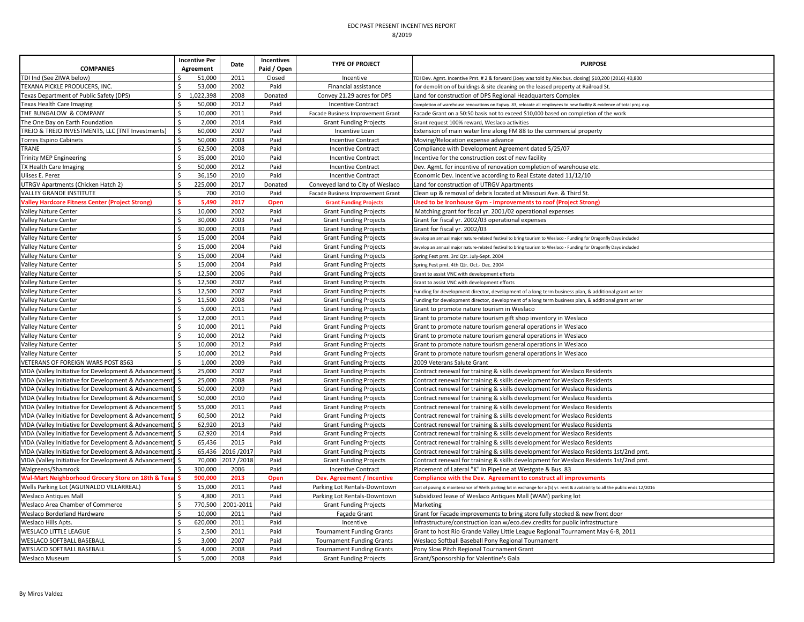| <b>COMPANIES</b>                                            | <b>Incentive Per</b><br>Agreement | Date      | Incentives<br>Paid / Open | <b>TYPE OF PROJECT</b>            | <b>PURPOSE</b>                                                                                                                 |
|-------------------------------------------------------------|-----------------------------------|-----------|---------------------------|-----------------------------------|--------------------------------------------------------------------------------------------------------------------------------|
| TDI Ind (See ZIWA below)                                    | 51,000                            | 2011      | Closed                    | Incentive                         | TDI Dev. Agmt. Incentive Pmt. # 2 & forward (Joey was told by Alex bus. closing) \$10,200 (2016) 40,800                        |
| TEXANA PICKLE PRODUCERS, INC.<br>Ś.                         | 53,000                            | 2002      | Paid                      | Financial assistance              | for demolition of buildings & site cleaning on the leased property at Railroad St.                                             |
| Texas Department of Public Safety (DPS)<br>Ś.               | 1,022,398                         | 2008      | Donated                   | Convey 21.29 acres for DPS        | Land for construction of DPS Regional Headquarters Complex                                                                     |
| Texas Health Care Imaging                                   | 50,000                            | 2012      | Paid                      | <b>Incentive Contract</b>         | Completion of warehouse renovations on Expwy. 83, relocate all employees to new facility & evidence of total proj. exp         |
| \$<br>THE BUNGALOW & COMPANY                                | 10,000                            | 2011      | Paid                      | Facade Business Improvement Grant | Facade Grant on a 50:50 basis not to exceed \$10,000 based on completion of the work                                           |
| Ś<br>The One Day on Earth Foundation                        | 2,000                             | 2014      | Paid                      | <b>Grant Funding Projects</b>     | Grant request 100% reward, Weslaco activities                                                                                  |
| TREJO & TREJO INVESTMENTS, LLC (TNT Investments)<br>\$      | 60,000                            | 2007      | Paid                      | Incentive Loan                    | Extension of main water line along FM 88 to the commercial property                                                            |
| Torres Espino Cabinets<br>Ś.                                | 50,000                            | 2003      | Paid                      | <b>Incentive Contract</b>         | Moving/Relocation expense advance                                                                                              |
| TRANE                                                       | 62,500                            | 2008      | Paid                      | <b>Incentive Contract</b>         | Compliance with Development Agreement dated 5/25/07                                                                            |
| <b>Trinity MEP Engineering</b><br>Ś                         | 35,000                            | 2010      | Paid                      | <b>Incentive Contract</b>         | Incentive for the construction cost of new facility                                                                            |
| Ś<br>TX Health Care Imaging                                 | 50,000                            | 2012      | Paid                      | <b>Incentive Contract</b>         | Dev. Agmt. for incentive of renovation completion of warehouse etc.                                                            |
| Ulises E. Perez<br>Ś                                        | 36,150                            | 2010      | Paid                      | <b>Incentive Contract</b>         | Economic Dev. Incentive according to Real Estate dated 11/12/10                                                                |
| UTRGV Apartments (Chicken Hatch 2)<br>\$                    | 225,000                           | 2017      | Donated                   | Conveyed land to City of Weslaco  | Land for construction of UTRGV Apartments                                                                                      |
| Ś<br><b>VALLEY GRANDE INSTITUTE</b>                         | 700                               | 2010      | Paid                      | Facade Business Improvement Grant | Clean up & removal of debris located at Missouri Ave. & Third St.                                                              |
| <b>Valley Hardcore Fitness Center (Project Strong)</b>      | 5,490                             | 2017      | Open                      | <b>Grant Funding Projects</b>     | Used to be Ironhouse Gym - improvements to roof (Project Strong)                                                               |
| \$<br>Valley Nature Center                                  | 10,000                            | 2002      | Paid                      | <b>Grant Funding Projects</b>     | Matching grant for fiscal yr. 2001/02 operational expenses                                                                     |
| Ś<br><b>Valley Nature Center</b>                            | 30,000                            | 2003      | Paid                      | <b>Grant Funding Projects</b>     | Grant for fiscal yr. 2002/03 operational expenses                                                                              |
| Ś<br>Valley Nature Center                                   | 30,000                            | 2003      | Paid                      | <b>Grant Funding Projects</b>     | Grant for fiscal yr. 2002/03                                                                                                   |
| Ś<br>Valley Nature Center                                   | 15,000                            | 2004      | Paid                      | <b>Grant Funding Projects</b>     | levelop an annual major nature-related festival to bring tourism to Weslaco - Funding for Dragonfly Days included              |
| Valley Nature Center<br>Ś                                   | 15,000                            | 2004      | Paid                      | <b>Grant Funding Projects</b>     | develop an annual major nature-related festival to bring tourism to Weslaco - Funding for Dragonfly Days included              |
| \$<br>Valley Nature Center                                  | 15,000                            | 2004      | Paid                      | <b>Grant Funding Projects</b>     | Spring Fest pmt. 3rd Qtr. July-Sept. 2004                                                                                      |
| Ś<br>Valley Nature Center                                   | 15,000                            | 2004      | Paid                      | <b>Grant Funding Projects</b>     | Spring Fest pmt. 4th Qtr. Oct.- Dec. 2004                                                                                      |
| Ś<br>Valley Nature Center                                   | 12,500                            | 2006      | Paid                      | <b>Grant Funding Projects</b>     | Grant to assist VNC with development efforts                                                                                   |
| Ś<br>Valley Nature Center                                   | 12,500                            | 2007      | Paid                      | <b>Grant Funding Projects</b>     | Grant to assist VNC with development efforts                                                                                   |
| \$<br>Valley Nature Center                                  | 12,500                            | 2007      | Paid                      | <b>Grant Funding Projects</b>     | Funding for development director, development of a long term business plan, & additional grant writer                          |
| Ś<br>Valley Nature Center                                   | 11,500                            | 2008      | Paid                      | <b>Grant Funding Projects</b>     | Funding for development director, development of a long term business plan, & additional grant writer                          |
| Ś<br>Valley Nature Center                                   | 5,000                             | 2011      | Paid                      | <b>Grant Funding Projects</b>     | Grant to promote nature tourism in Weslaco                                                                                     |
| Ś.<br>Valley Nature Center                                  | 12,000                            | 2011      | Paid                      | <b>Grant Funding Projects</b>     | Grant to promote nature tourism gift shop inventory in Weslaco                                                                 |
| Ś<br>Valley Nature Center                                   | 10,000                            | 2011      | Paid                      | <b>Grant Funding Projects</b>     | Grant to promote nature tourism general operations in Weslaco                                                                  |
| Valley Nature Center<br>Ś                                   | 10,000                            | 2012      | Paid                      | <b>Grant Funding Projects</b>     | Grant to promote nature tourism general operations in Weslaco                                                                  |
| Ś<br>Valley Nature Center                                   | 10,000                            | 2012      | Paid                      | <b>Grant Funding Projects</b>     | Grant to promote nature tourism general operations in Weslaco                                                                  |
| Ś<br><b>Valley Nature Center</b>                            | 10,000                            | 2012      | Paid                      | <b>Grant Funding Projects</b>     | Grant to promote nature tourism general operations in Weslaco                                                                  |
| VETERANS OF FOREIGN WARS POST 8563<br>ς                     | 1,000                             | 2009      | Paid                      | <b>Grant Funding Projects</b>     | 2009 Veterans Salute Grant                                                                                                     |
| VIDA (Valley Initiative for Development & Advancement)      | 25,000                            | 2007      | Paid                      | <b>Grant Funding Projects</b>     | Contract renewal for training & skills development for Weslaco Residents                                                       |
| VIDA (Valley Initiative for Development & Advancement)      | 25,000                            | 2008      | Paid                      | <b>Grant Funding Projects</b>     | Contract renewal for training & skills development for Weslaco Residents                                                       |
| VIDA (Valley Initiative for Development & Advancement)      | 50,000                            | 2009      | Paid                      | <b>Grant Funding Projects</b>     | Contract renewal for training & skills development for Weslaco Residents                                                       |
| VIDA (Valley Initiative for Development & Advancement)      | 50,000                            | 2010      | Paid                      | <b>Grant Funding Projects</b>     | Contract renewal for training & skills development for Weslaco Residents                                                       |
| VIDA (Valley Initiative for Development & Advancement)      | 55,000                            | 2011      | Paid                      | <b>Grant Funding Projects</b>     | Contract renewal for training & skills development for Weslaco Residents                                                       |
| VIDA (Valley Initiative for Development & Advancement)      | 60,500                            | 2012      | Paid                      | <b>Grant Funding Projects</b>     | Contract renewal for training & skills development for Weslaco Residents                                                       |
| VIDA (Valley Initiative for Development & Advancement)      | 62,920                            | 2013      | Paid                      | <b>Grant Funding Projects</b>     | Contract renewal for training & skills development for Weslaco Residents                                                       |
| VIDA (Valley Initiative for Development & Advancement)      | 62,920                            | 2014      | Paid                      | <b>Grant Funding Projects</b>     | Contract renewal for training & skills development for Weslaco Residents                                                       |
| VIDA (Valley Initiative for Development & Advancement)      | 65,436                            | 2015      | Paid                      | <b>Grant Funding Projects</b>     | Contract renewal for training & skills development for Weslaco Residents                                                       |
| VIDA (Valley Initiative for Development & Advancement)      | 65,436                            | 2016/201  | Paid                      | <b>Grant Funding Projects</b>     | Contract renewal for training & skills development for Weslaco Residents 1st/2nd pmt.                                          |
| VIDA (Valley Initiative for Development & Advancement)<br>Ś | 70,000                            | 2017/2018 | Paid                      | <b>Grant Funding Projects</b>     | Contract renewal for training & skills development for Weslaco Residents 1st/2nd pmt.                                          |
| Walgreens/Shamrock                                          | 300,000                           | 2006      | Paid                      | <b>Incentive Contract</b>         | Placement of Lateral "K" In Pipeline at Westgate & Bus. 83                                                                     |
| Wal-Mart Neighborhood Grocery Store on 18th & Texa          | 900,000                           | 2013      | Open                      | Dev. Agreement / Incentive        | Compliance with the Dev. Agreement to construct all improvements                                                               |
| \$<br>Wells Parking Lot (AGUINALDO VILLARREAL)              | 15,000                            | 2011      | Paid                      | Parking Lot Rentals-Downtown      | Cost of paving & maintenance of Wells parking lot in exchange for a (5) yr. rent & availability to all the public ends 12/2016 |
| Ś.<br><b>Weslaco Antiques Mall</b>                          | 4,800                             | 2011      | Paid                      | Parking Lot Rentals-Downtown      | Subsidized lease of Weslaco Antiques Mall (WAM) parking lot                                                                    |
| Weslaco Area Chamber of Commerce<br>Ś                       | 770,500                           | 2001-2011 | Paid                      | <b>Grant Funding Projects</b>     | Marketing                                                                                                                      |
| Ś<br>Weslaco Borderland Hardware                            | 10,000                            | 2011      | Paid                      | Façade Grant                      | Grant for Facade improvements to bring store fully stocked & new front door                                                    |
| Weslaco Hills Apts.<br>Ś                                    | 620,000                           | 2011      | Paid                      | Incentive                         | Infrastructure/construction loan w/eco.dev.credits for public infrastructure                                                   |
| Ś<br><b>WESLACO LITTLE LEAGUE</b>                           | 2,500                             | 2011      | Paid                      | <b>Tournament Funding Grants</b>  | Grant to host Rio Grande Valley Little League Regional Tournament May 6-8, 2011                                                |
| <b>WESLACO SOFTBALL BASEBALL</b><br>Ś                       | 3,000                             | 2007      | Paid                      | <b>Tournament Funding Grants</b>  | Weslaco Softball Baseball Pony Regional Tournament                                                                             |
| WESLACO SOFTBALL BASEBALL<br>\$                             | 4,000                             | 2008      | Paid                      | <b>Tournament Funding Grants</b>  | Pony Slow Pitch Regional Tournament Grant                                                                                      |
| Ś<br><b>Weslaco Museum</b>                                  | 5.000                             | 2008      | Paid                      | <b>Grant Funding Projects</b>     | Grant/Sponsorship for Valentine's Gala                                                                                         |